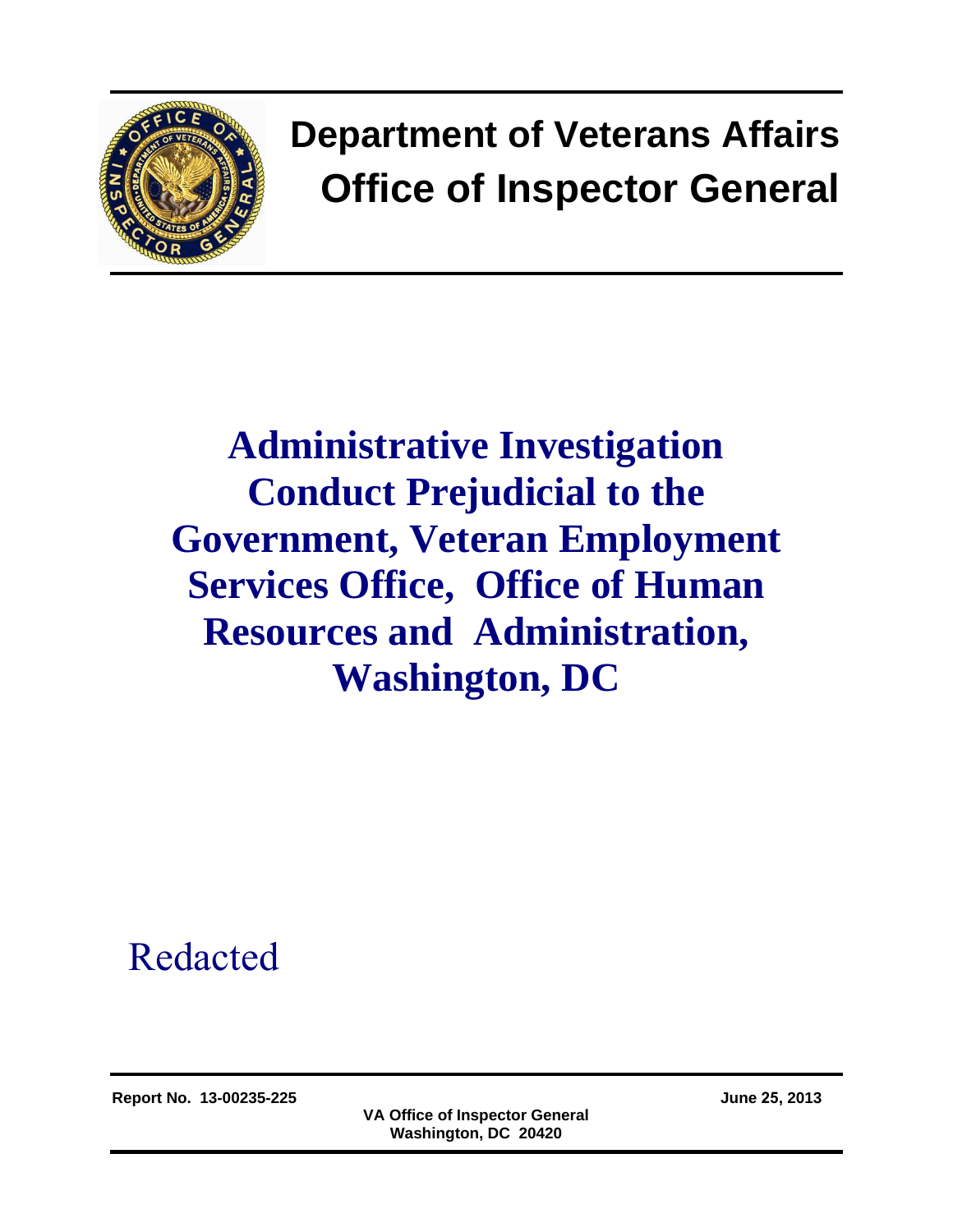

# **Department of Veterans Affairs Office of Inspector General**

# **Administrative Investigation Conduct Prejudicial to the Government, Veteran Employment Services Office, Office of Human Resources and Administration, Washington, DC**

# Redacted

**Report No. 13-00235-225 June 25, 2013** 

**VA Office of Inspector General Washington, DC 20420**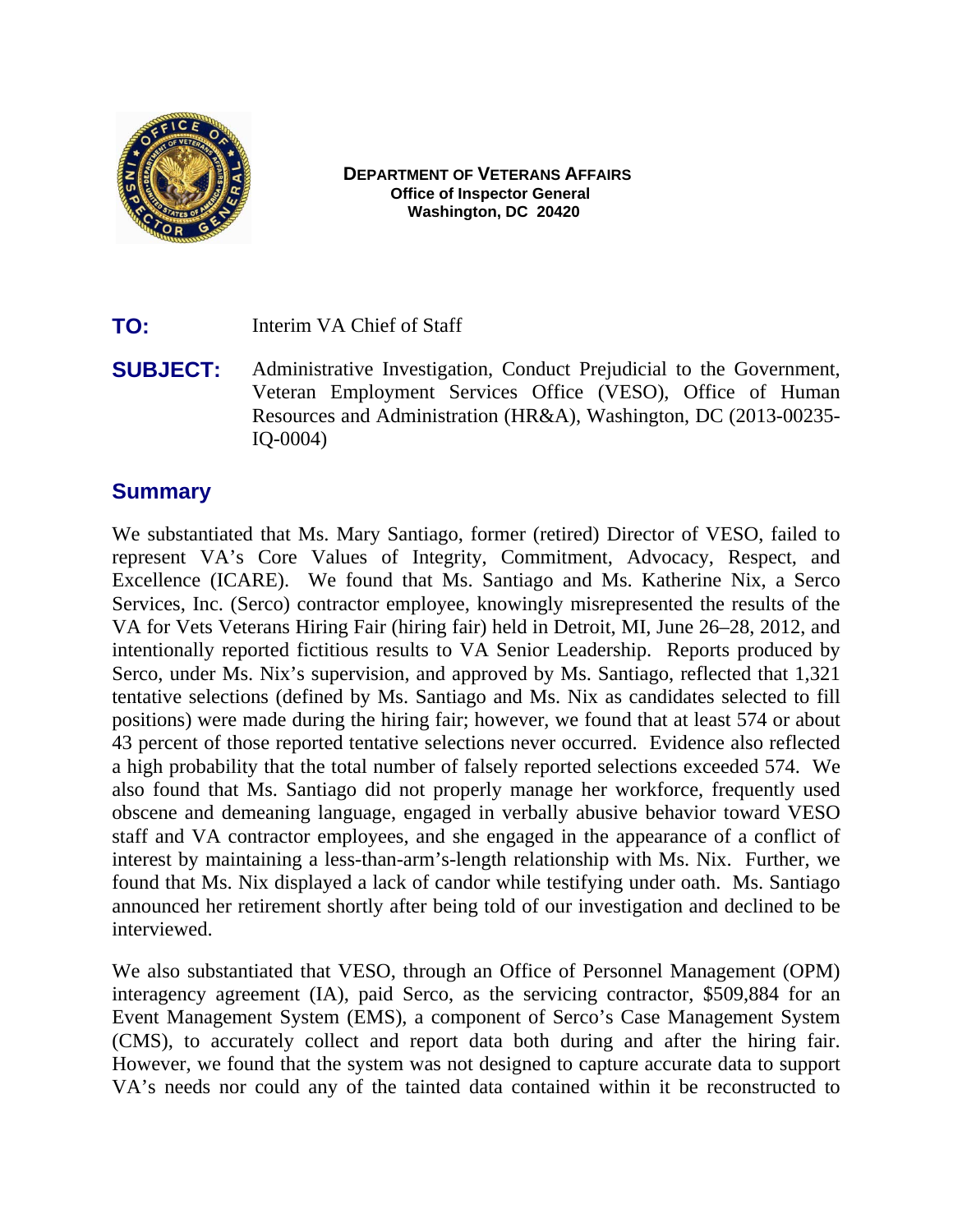

#### **DEPARTMENT OF VETERANS AFFAIRS Office of Inspector General Washington, DC 20420**

**TO:** Interim VA Chief of Staff

**SUBJECT:** Administrative Investigation, Conduct Prejudicial to the Government, Veteran Employment Services Office (VESO), Office of Human Resources and Administration (HR&A), Washington, DC (2013-00235 IQ-0004)

#### **Summary**

We substantiated that Ms. Mary Santiago, former (retired) Director of VESO, failed to represent VA's Core Values of Integrity, Commitment, Advocacy, Respect, and Excellence (ICARE). We found that Ms. Santiago and Ms. Katherine Nix, a Serco Services, Inc. (Serco) contractor employee, knowingly misrepresented the results of the VA for Vets Veterans Hiring Fair (hiring fair) held in Detroit, MI, June 26–28, 2012, and intentionally reported fictitious results to VA Senior Leadership. Reports produced by Serco, under Ms. Nix's supervision, and approved by Ms. Santiago, reflected that 1,321 tentative selections (defined by Ms. Santiago and Ms. Nix as candidates selected to fill positions) were made during the hiring fair; however, we found that at least 574 or about 43 percent of those reported tentative selections never occurred. Evidence also reflected a high probability that the total number of falsely reported selections exceeded 574. We also found that Ms. Santiago did not properly manage her workforce, frequently used obscene and demeaning language, engaged in verbally abusive behavior toward VESO staff and VA contractor employees, and she engaged in the appearance of a conflict of interest by maintaining a less-than-arm's-length relationship with Ms. Nix. Further, we found that Ms. Nix displayed a lack of candor while testifying under oath. Ms. Santiago announced her retirement shortly after being told of our investigation and declined to be interviewed.

We also substantiated that VESO, through an Office of Personnel Management (OPM) interagency agreement (IA), paid Serco, as the servicing contractor, \$509,884 for an Event Management System (EMS), a component of Serco's Case Management System (CMS), to accurately collect and report data both during and after the hiring fair. However, we found that the system was not designed to capture accurate data to support VA's needs nor could any of the tainted data contained within it be reconstructed to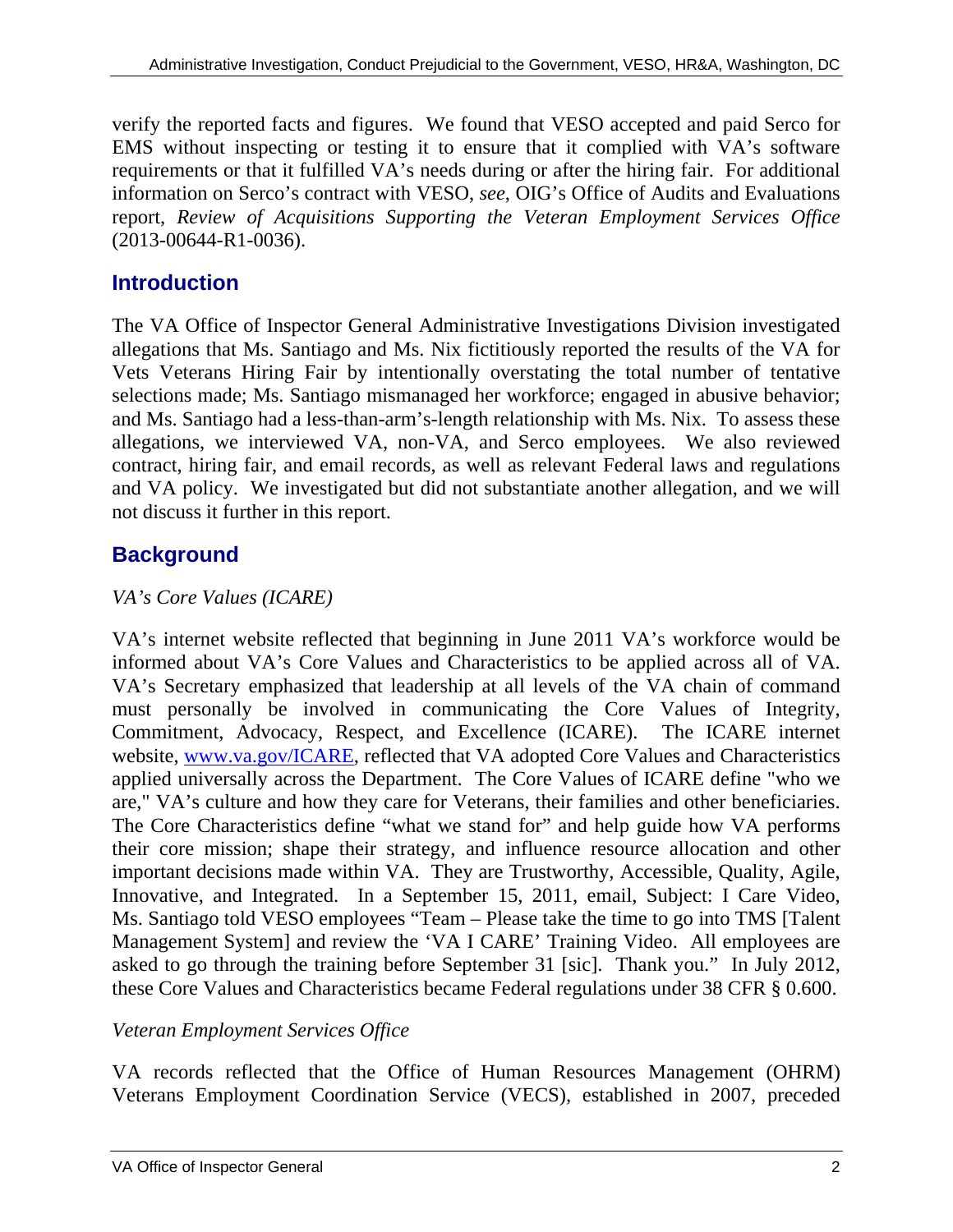verify the reported facts and figures. We found that VESO accepted and paid Serco for EMS without inspecting or testing it to ensure that it complied with VA's software requirements or that it fulfilled VA's needs during or after the hiring fair. For additional information on Serco's contract with VESO, *see*, OIG's Office of Audits and Evaluations report, *Review of Acquisitions Supporting the Veteran Employment Services Office*  (2013-00644-R1-0036).

# **Introduction**

The VA Office of Inspector General Administrative Investigations Division investigated allegations that Ms. Santiago and Ms. Nix fictitiously reported the results of the VA for Vets Veterans Hiring Fair by intentionally overstating the total number of tentative selections made; Ms. Santiago mismanaged her workforce; engaged in abusive behavior; and Ms. Santiago had a less-than-arm's-length relationship with Ms. Nix. To assess these allegations, we interviewed VA, non-VA, and Serco employees. We also reviewed contract, hiring fair, and email records, as well as relevant Federal laws and regulations and VA policy. We investigated but did not substantiate another allegation, and we will not discuss it further in this report.

# **Background**

# *VA's Core Values (ICARE)*

are," VA's culture and how they care for Veterans, their families and other beneficiaries. VA's internet website reflected that beginning in June 2011 VA's workforce would be informed about VA's Core Values and Characteristics to be applied across all of VA. VA's Secretary emphasized that leadership at all levels of the VA chain of command must personally be involved in communicating the Core Values of Integrity, Commitment, Advocacy, Respect, and Excellence (ICARE). The ICARE internet website, [www.va.gov/ICARE, re](http://www.va.gov/ICARE)flected that VA adopted Core Values and Characteristics applied universally across the Department. The Core Values of ICARE define "who we The Core Characteristics define "what we stand for" and help guide how VA performs their core mission; shape their strategy, and influence resource allocation and other important decisions made within VA. They are Trustworthy, Accessible, Quality, Agile, Innovative, and Integrated. In a September 15, 2011, email, Subject: I Care Video, Ms. Santiago told VESO employees "Team – Please take the time to go into TMS [Talent Management System] and review the 'VA I CARE' Training Video. All employees are asked to go through the training before September 31 [sic]. Thank you." In July 2012, these Core Values and Characteristics became Federal regulations under 38 CFR § 0.600.

## *Veteran Employment Services Office*

VA records reflected that the Office of Human Resources Management (OHRM) Veterans Employment Coordination Service (VECS), established in 2007, preceded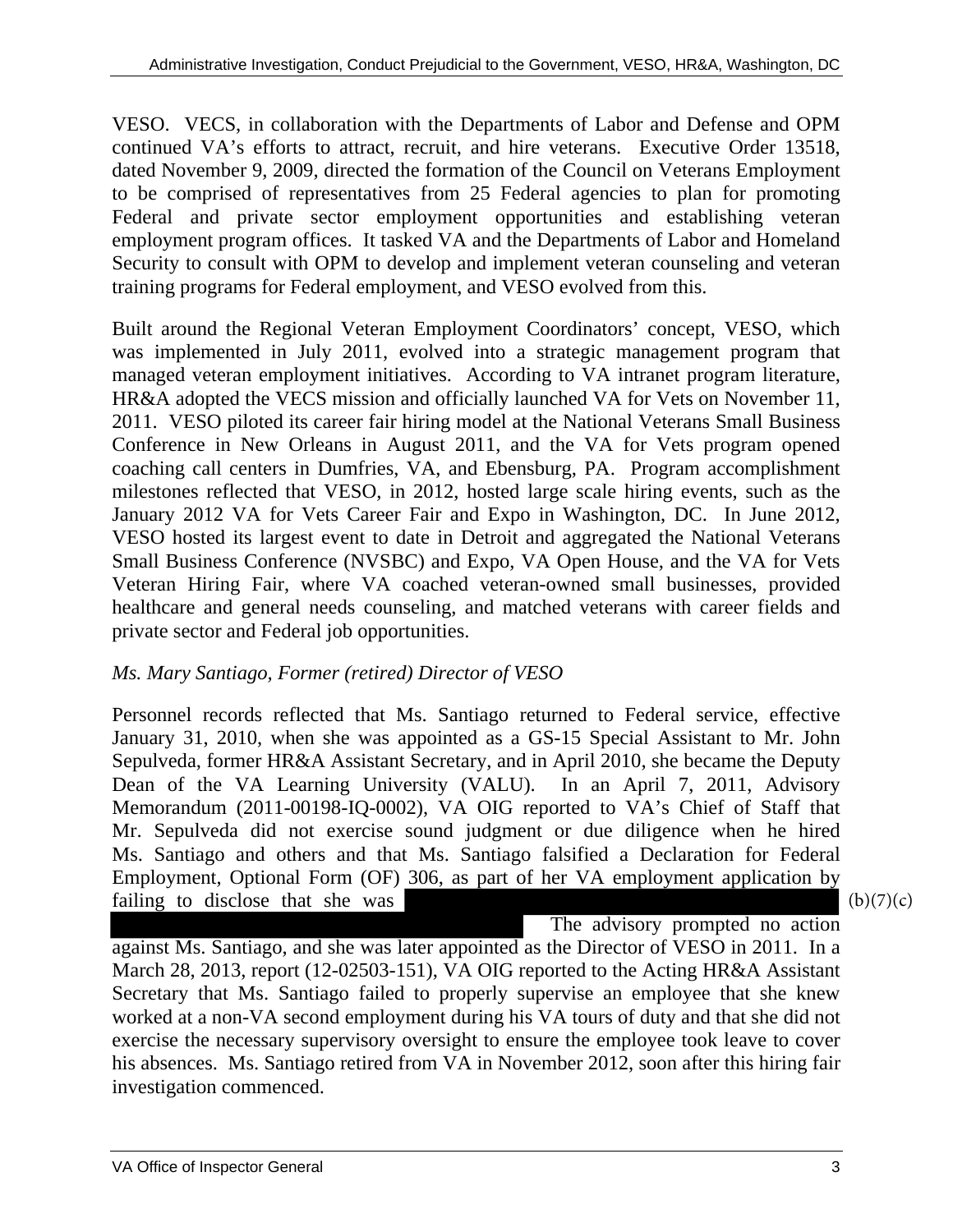VESO. VECS, in collaboration with the Departments of Labor and Defense and OPM continued VA's efforts to attract, recruit, and hire veterans. Executive Order 13518, dated November 9, 2009, directed the formation of the Council on Veterans Employment to be comprised of representatives from 25 Federal agencies to plan for promoting Federal and private sector employment opportunities and establishing veteran employment program offices. It tasked VA and the Departments of Labor and Homeland Security to consult with OPM to develop and implement veteran counseling and veteran training programs for Federal employment, and VESO evolved from this.

Built around the Regional Veteran Employment Coordinators' concept, VESO, which was implemented in July 2011, evolved into a strategic management program that managed veteran employment initiatives. According to VA intranet program literature, HR&A adopted the VECS mission and officially launched VA for Vets on November 11, 2011. VESO piloted its career fair hiring model at the National Veterans Small Business Conference in New Orleans in August 2011, and the VA for Vets program opened coaching call centers in Dumfries, VA, and Ebensburg, PA. Program accomplishment milestones reflected that VESO, in 2012, hosted large scale hiring events, such as the January 2012 VA for Vets Career Fair and Expo in Washington, DC. In June 2012, VESO hosted its largest event to date in Detroit and aggregated the National Veterans Small Business Conference (NVSBC) and Expo, VA Open House, and the VA for Vets Veteran Hiring Fair, where VA coached veteran-owned small businesses, provided healthcare and general needs counseling, and matched veterans with career fields and private sector and Federal job opportunities.

#### *Ms. Mary Santiago, Former (retired) Director of VESO*

Personnel records reflected that Ms. Santiago returned to Federal service, effective January 31, 2010, when she was appointed as a GS-15 Special Assistant to Mr. John Sepulveda, former HR&A Assistant Secretary, and in April 2010, she became the Deputy Dean of the VA Learning University (VALU). In an April 7, 2011, Advisory Memorandum (2011-00198-IQ-0002), VA OIG reported to VA's Chief of Staff that Mr. Sepulveda did not exercise sound judgment or due diligence when he hired Ms. Santiago and others and that Ms. Santiago falsified a Declaration for Federal Employment, Optional Form (OF) 306, as part of her VA employment application by failing to disclose that she was

 $(b)(7)(c)$ 

 The advisory prompted no action against Ms. Santiago, and she was later appointed as the Director of VESO in 2011. In a March 28, 2013, report (12-02503-151), VA OIG reported to the Acting HR&A Assistant Secretary that Ms. Santiago failed to properly supervise an employee that she knew worked at a non-VA second employment during his VA tours of duty and that she did not exercise the necessary supervisory oversight to ensure the employee took leave to cover his absences. Ms. Santiago retired from VA in November 2012, soon after this hiring fair investigation commenced.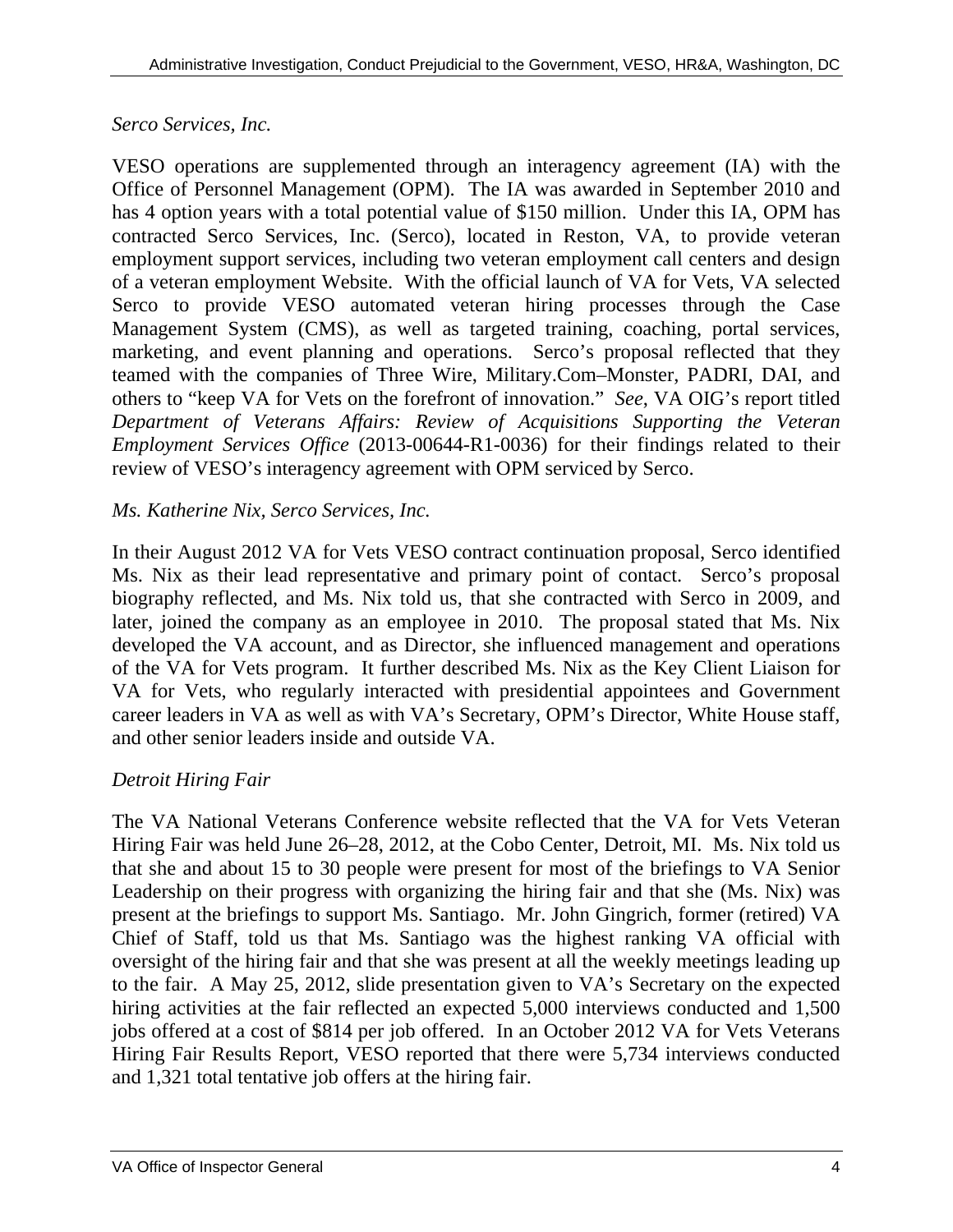#### *Serco Services, Inc.*

VESO operations are supplemented through an interagency agreement (IA) with the Office of Personnel Management (OPM). The IA was awarded in September 2010 and has 4 option years with a total potential value of \$150 million. Under this IA, OPM has contracted Serco Services, Inc. (Serco), located in Reston, VA, to provide veteran employment support services, including two veteran employment call centers and design of a veteran employment Website. With the official launch of VA for Vets, VA selected Serco to provide VESO automated veteran hiring processes through the Case Management System (CMS), as well as targeted training, coaching, portal services, marketing, and event planning and operations. Serco's proposal reflected that they teamed with the companies of Three Wire, Military.Com–Monster, PADRI, DAI, and others to "keep VA for Vets on the forefront of innovation." *See*, VA OIG's report titled *Department of Veterans Affairs: Review of Acquisitions Supporting the Veteran Employment Services Office* (2013-00644-R1-0036) for their findings related to their review of VESO's interagency agreement with OPM serviced by Serco.

## *Ms. Katherine Nix, Serco Services, Inc.*

In their August 2012 VA for Vets VESO contract continuation proposal, Serco identified Ms. Nix as their lead representative and primary point of contact. Serco's proposal biography reflected, and Ms. Nix told us, that she contracted with Serco in 2009, and later, joined the company as an employee in 2010. The proposal stated that Ms. Nix developed the VA account, and as Director, she influenced management and operations of the VA for Vets program. It further described Ms. Nix as the Key Client Liaison for VA for Vets, who regularly interacted with presidential appointees and Government career leaders in VA as well as with VA's Secretary, OPM's Director, White House staff, and other senior leaders inside and outside VA.

## *Detroit Hiring Fair*

The VA National Veterans Conference website reflected that the VA for Vets Veteran Hiring Fair was held June 26–28, 2012, at the Cobo Center, Detroit, MI. Ms. Nix told us that she and about 15 to 30 people were present for most of the briefings to VA Senior Leadership on their progress with organizing the hiring fair and that she (Ms. Nix) was present at the briefings to support Ms. Santiago. Mr. John Gingrich, former (retired) VA Chief of Staff, told us that Ms. Santiago was the highest ranking VA official with oversight of the hiring fair and that she was present at all the weekly meetings leading up to the fair. A May 25, 2012, slide presentation given to VA's Secretary on the expected hiring activities at the fair reflected an expected 5,000 interviews conducted and 1,500 jobs offered at a cost of \$814 per job offered. In an October 2012 VA for Vets Veterans Hiring Fair Results Report, VESO reported that there were 5,734 interviews conducted and 1,321 total tentative job offers at the hiring fair.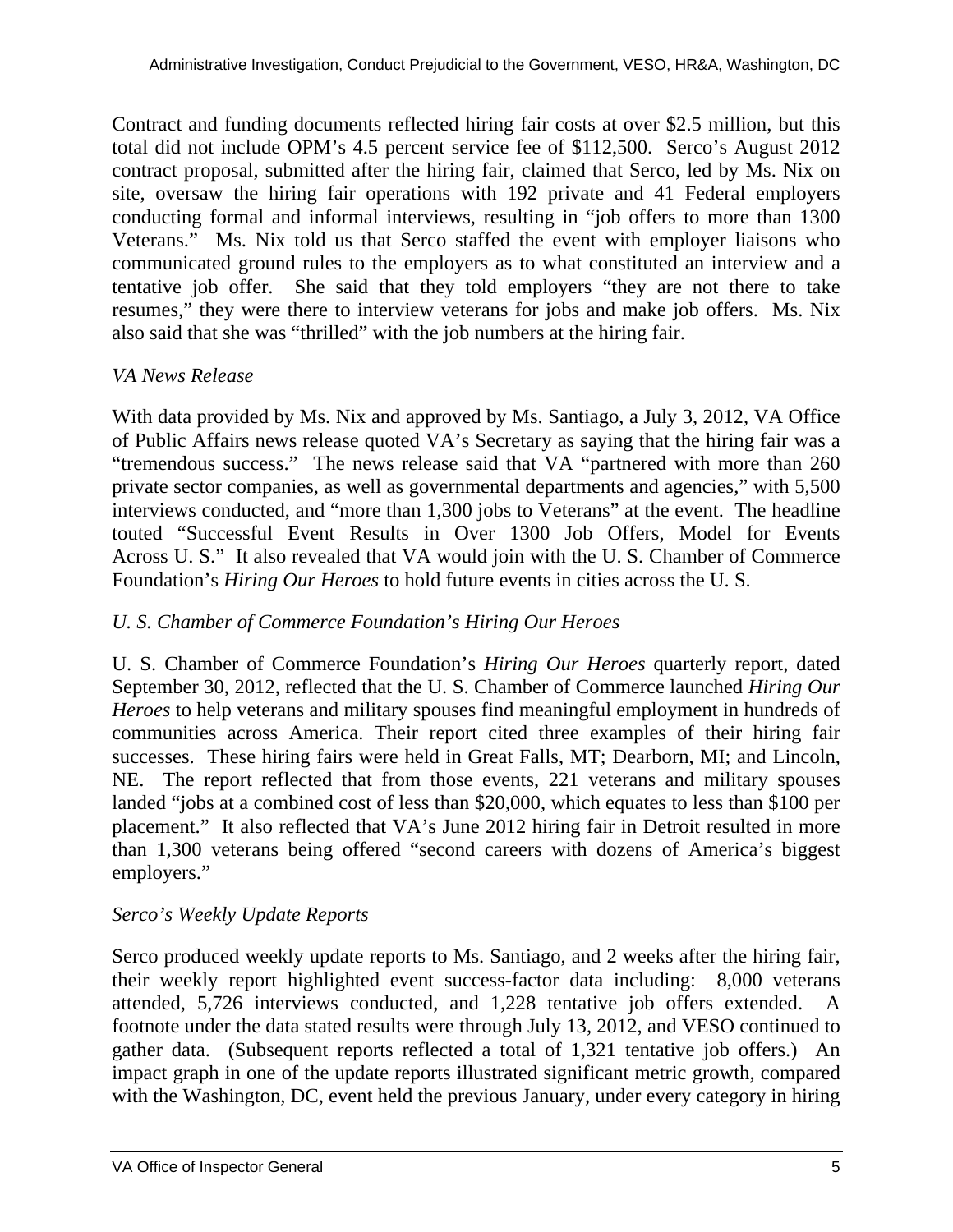Contract and funding documents reflected hiring fair costs at over \$2.5 million, but this total did not include OPM's 4.5 percent service fee of \$112,500. Serco's August 2012 contract proposal, submitted after the hiring fair, claimed that Serco, led by Ms. Nix on site, oversaw the hiring fair operations with 192 private and 41 Federal employers conducting formal and informal interviews, resulting in "job offers to more than 1300 Veterans." Ms. Nix told us that Serco staffed the event with employer liaisons who communicated ground rules to the employers as to what constituted an interview and a tentative job offer. She said that they told employers "they are not there to take resumes," they were there to interview veterans for jobs and make job offers. Ms. Nix also said that she was "thrilled" with the job numbers at the hiring fair.

#### *VA News Release*

With data provided by Ms. Nix and approved by Ms. Santiago, a July 3, 2012, VA Office of Public Affairs news release quoted VA's Secretary as saying that the hiring fair was a "tremendous success." The news release said that VA "partnered with more than 260 private sector companies, as well as governmental departments and agencies," with 5,500 interviews conducted, and "more than 1,300 jobs to Veterans" at the event. The headline touted "Successful Event Results in Over 1300 Job Offers, Model for Events Across U. S." It also revealed that VA would join with the U. S. Chamber of Commerce Foundation's *Hiring Our Heroes* to hold future events in cities across the U. S.

## *U. S. Chamber of Commerce Foundation's Hiring Our Heroes*

U. S. Chamber of Commerce Foundation's *Hiring Our Heroes* quarterly report, dated September 30, 2012, reflected that the U. S. Chamber of Commerce launched *Hiring Our Heroes* to help veterans and military spouses find meaningful employment in hundreds of communities across America. Their report cited three examples of their hiring fair successes. These hiring fairs were held in Great Falls, MT; Dearborn, MI; and Lincoln, NE. The report reflected that from those events, 221 veterans and military spouses landed "jobs at a combined cost of less than \$20,000, which equates to less than \$100 per placement." It also reflected that VA's June 2012 hiring fair in Detroit resulted in more than 1,300 veterans being offered "second careers with dozens of America's biggest employers."

## *Serco's Weekly Update Reports*

Serco produced weekly update reports to Ms. Santiago, and 2 weeks after the hiring fair, their weekly report highlighted event success-factor data including: 8,000 veterans attended, 5,726 interviews conducted, and 1,228 tentative job offers extended. A footnote under the data stated results were through July 13, 2012, and VESO continued to gather data. (Subsequent reports reflected a total of 1,321 tentative job offers.) An impact graph in one of the update reports illustrated significant metric growth, compared with the Washington, DC, event held the previous January, under every category in hiring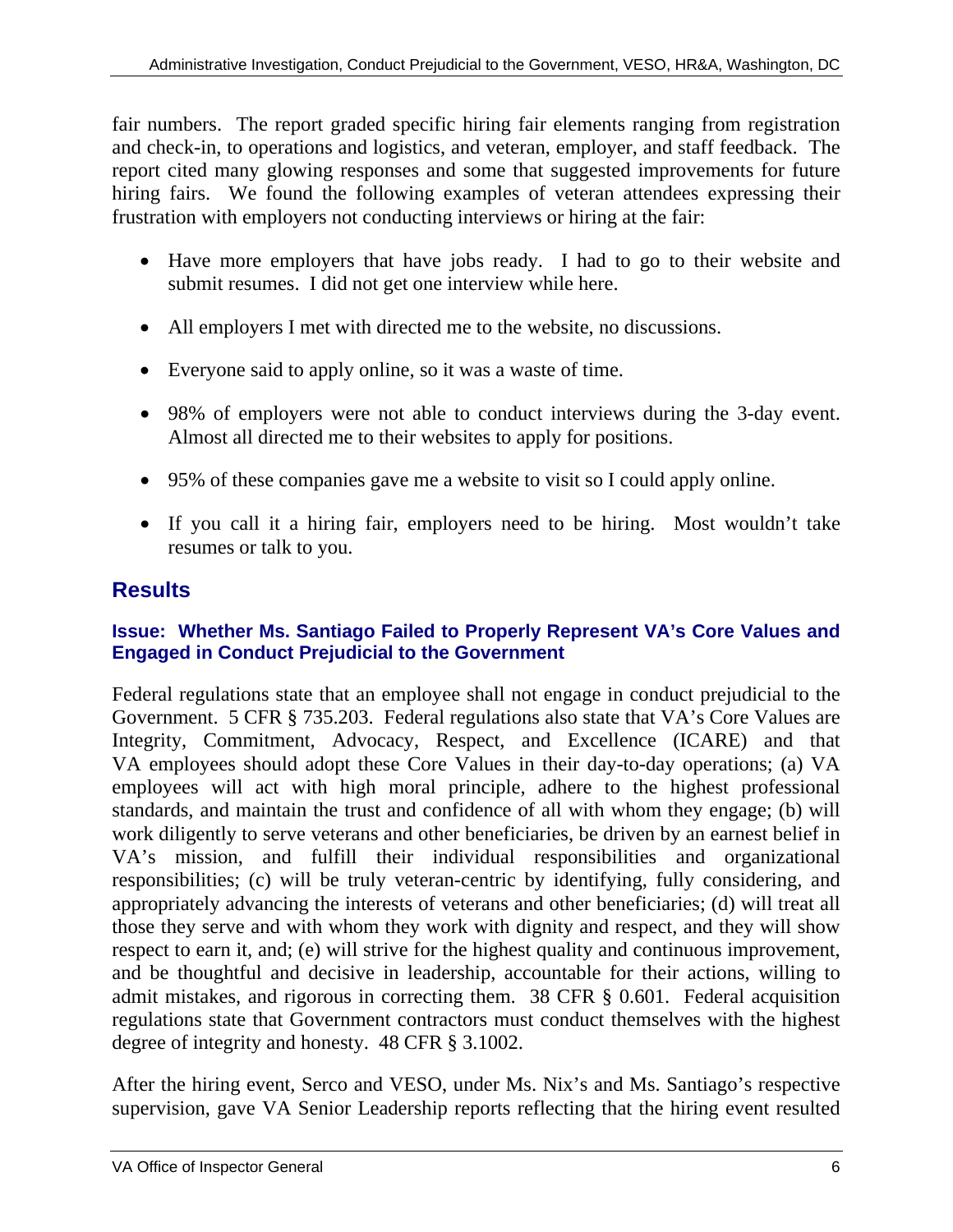fair numbers. The report graded specific hiring fair elements ranging from registration and check-in, to operations and logistics, and veteran, employer, and staff feedback. The report cited many glowing responses and some that suggested improvements for future hiring fairs. We found the following examples of veteran attendees expressing their frustration with employers not conducting interviews or hiring at the fair:

- Have more employers that have jobs ready. I had to go to their website and submit resumes. I did not get one interview while here.
- All employers I met with directed me to the website, no discussions.
- Everyone said to apply online, so it was a waste of time.
- 98% of employers were not able to conduct interviews during the 3-day event. Almost all directed me to their websites to apply for positions.
- 95% of these companies gave me a website to visit so I could apply online.
- If you call it a hiring fair, employers need to be hiring. Most wouldn't take resumes or talk to you.

# **Results**

#### **Issue: Whether Ms. Santiago Failed to Properly Represent VA's Core Values and Engaged in Conduct Prejudicial to the Government**

Federal regulations state that an employee shall not engage in conduct prejudicial to the Government. 5 CFR § 735.203. Federal regulations also state that VA's Core Values are Integrity, Commitment, Advocacy, Respect, and Excellence (ICARE) and that VA employees should adopt these Core Values in their day-to-day operations; (a) VA employees will act with high moral principle, adhere to the highest professional standards, and maintain the trust and confidence of all with whom they engage; (b) will work diligently to serve veterans and other beneficiaries, be driven by an earnest belief in VA's mission, and fulfill their individual responsibilities and organizational responsibilities; (c) will be truly veteran-centric by identifying, fully considering, and appropriately advancing the interests of veterans and other beneficiaries; (d) will treat all those they serve and with whom they work with dignity and respect, and they will show respect to earn it, and; (e) will strive for the highest quality and continuous improvement, and be thoughtful and decisive in leadership, accountable for their actions, willing to admit mistakes, and rigorous in correcting them. 38 CFR § 0.601. Federal acquisition regulations state that Government contractors must conduct themselves with the highest degree of integrity and honesty. 48 CFR § 3.1002.

After the hiring event, Serco and VESO, under Ms. Nix's and Ms. Santiago's respective supervision, gave VA Senior Leadership reports reflecting that the hiring event resulted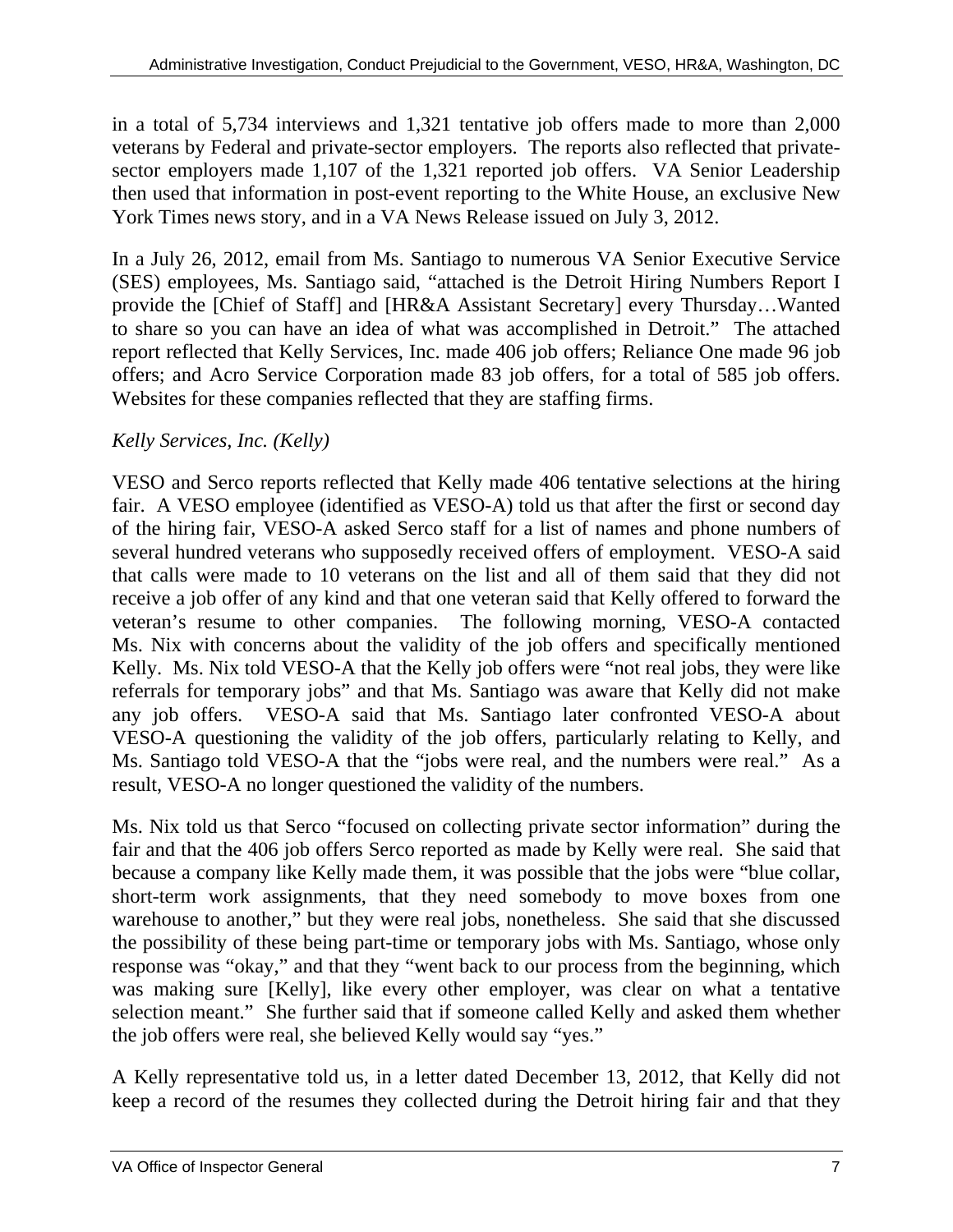in a total of 5,734 interviews and 1,321 tentative job offers made to more than 2,000 veterans by Federal and private-sector employers. The reports also reflected that privatesector employers made 1,107 of the 1,321 reported job offers. VA Senior Leadership then used that information in post-event reporting to the White House, an exclusive New York Times news story, and in a VA News Release issued on July 3, 2012.

In a July 26, 2012, email from Ms. Santiago to numerous VA Senior Executive Service (SES) employees, Ms. Santiago said, "attached is the Detroit Hiring Numbers Report I provide the [Chief of Staff] and [HR&A Assistant Secretary] every Thursday…Wanted to share so you can have an idea of what was accomplished in Detroit." The attached report reflected that Kelly Services, Inc. made 406 job offers; Reliance One made 96 job offers; and Acro Service Corporation made 83 job offers, for a total of 585 job offers. Websites for these companies reflected that they are staffing firms.

#### *Kelly Services, Inc. (Kelly)*

VESO and Serco reports reflected that Kelly made 406 tentative selections at the hiring fair. A VESO employee (identified as VESO-A) told us that after the first or second day of the hiring fair, VESO-A asked Serco staff for a list of names and phone numbers of several hundred veterans who supposedly received offers of employment. VESO-A said that calls were made to 10 veterans on the list and all of them said that they did not receive a job offer of any kind and that one veteran said that Kelly offered to forward the veteran's resume to other companies. The following morning, VESO-A contacted Ms. Nix with concerns about the validity of the job offers and specifically mentioned Kelly. Ms. Nix told VESO-A that the Kelly job offers were "not real jobs, they were like referrals for temporary jobs" and that Ms. Santiago was aware that Kelly did not make any job offers. VESO-A said that Ms. Santiago later confronted VESO-A about VESO-A questioning the validity of the job offers, particularly relating to Kelly, and Ms. Santiago told VESO-A that the "jobs were real, and the numbers were real." As a result, VESO-A no longer questioned the validity of the numbers.

Ms. Nix told us that Serco "focused on collecting private sector information" during the fair and that the 406 job offers Serco reported as made by Kelly were real. She said that because a company like Kelly made them, it was possible that the jobs were "blue collar, short-term work assignments, that they need somebody to move boxes from one warehouse to another," but they were real jobs, nonetheless. She said that she discussed the possibility of these being part-time or temporary jobs with Ms. Santiago, whose only response was "okay," and that they "went back to our process from the beginning, which was making sure [Kelly], like every other employer, was clear on what a tentative selection meant." She further said that if someone called Kelly and asked them whether the job offers were real, she believed Kelly would say "yes."

A Kelly representative told us, in a letter dated December 13, 2012, that Kelly did not keep a record of the resumes they collected during the Detroit hiring fair and that they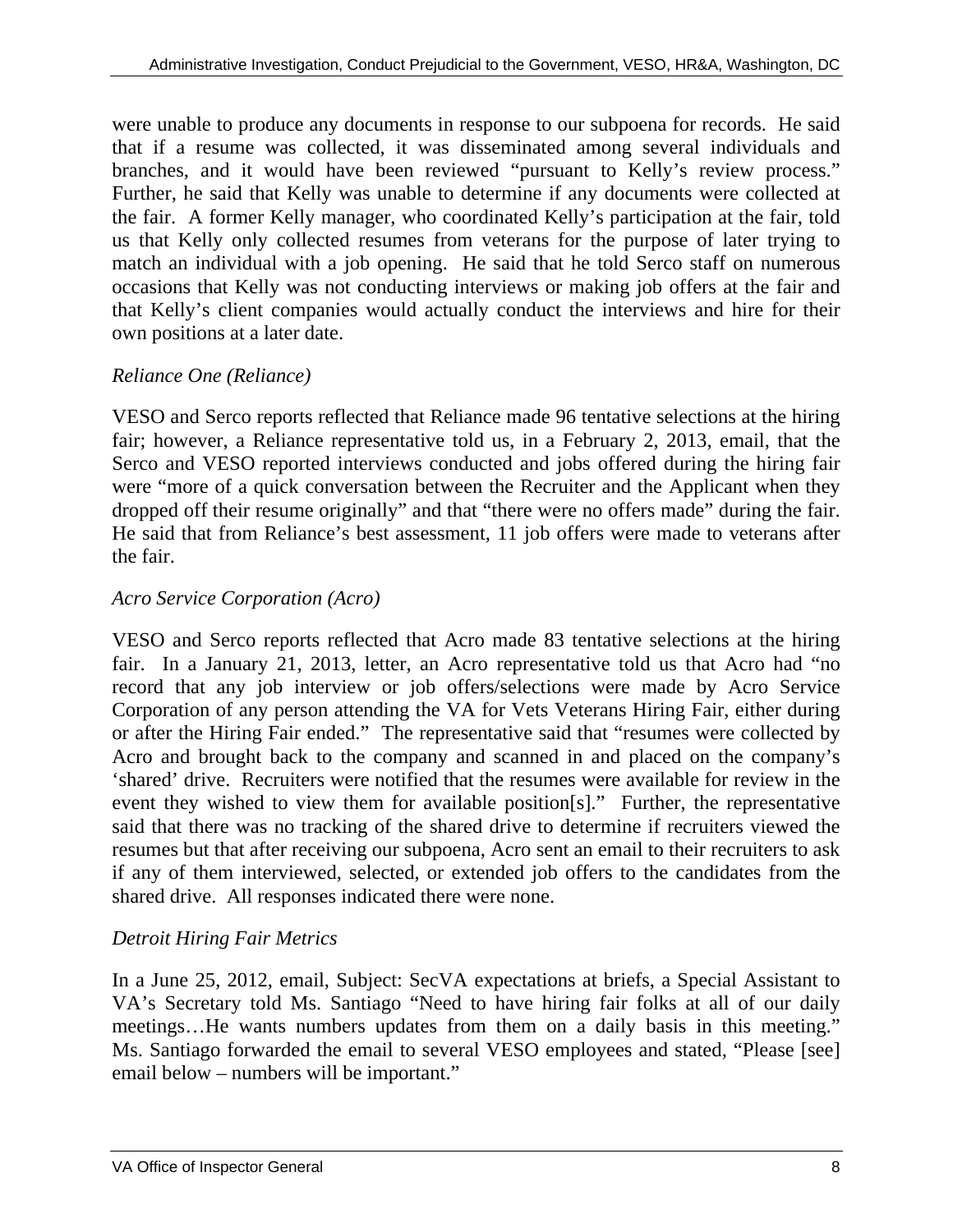were unable to produce any documents in response to our subpoena for records. He said that if a resume was collected, it was disseminated among several individuals and branches, and it would have been reviewed "pursuant to Kelly's review process." Further, he said that Kelly was unable to determine if any documents were collected at the fair. A former Kelly manager, who coordinated Kelly's participation at the fair, told us that Kelly only collected resumes from veterans for the purpose of later trying to match an individual with a job opening. He said that he told Serco staff on numerous occasions that Kelly was not conducting interviews or making job offers at the fair and that Kelly's client companies would actually conduct the interviews and hire for their own positions at a later date.

#### *Reliance One (Reliance)*

VESO and Serco reports reflected that Reliance made 96 tentative selections at the hiring fair; however, a Reliance representative told us, in a February 2, 2013, email, that the Serco and VESO reported interviews conducted and jobs offered during the hiring fair were "more of a quick conversation between the Recruiter and the Applicant when they dropped off their resume originally" and that "there were no offers made" during the fair. He said that from Reliance's best assessment, 11 job offers were made to veterans after the fair.

#### *Acro Service Corporation (Acro)*

VESO and Serco reports reflected that Acro made 83 tentative selections at the hiring fair. In a January 21, 2013, letter, an Acro representative told us that Acro had "no record that any job interview or job offers/selections were made by Acro Service Corporation of any person attending the VA for Vets Veterans Hiring Fair, either during or after the Hiring Fair ended." The representative said that "resumes were collected by Acro and brought back to the company and scanned in and placed on the company's 'shared' drive. Recruiters were notified that the resumes were available for review in the event they wished to view them for available position[s]." Further, the representative said that there was no tracking of the shared drive to determine if recruiters viewed the resumes but that after receiving our subpoena, Acro sent an email to their recruiters to ask if any of them interviewed, selected, or extended job offers to the candidates from the shared drive. All responses indicated there were none.

#### *Detroit Hiring Fair Metrics*

In a June 25, 2012, email, Subject: SecVA expectations at briefs, a Special Assistant to VA's Secretary told Ms. Santiago "Need to have hiring fair folks at all of our daily meetings…He wants numbers updates from them on a daily basis in this meeting." Ms. Santiago forwarded the email to several VESO employees and stated, "Please [see] email below – numbers will be important."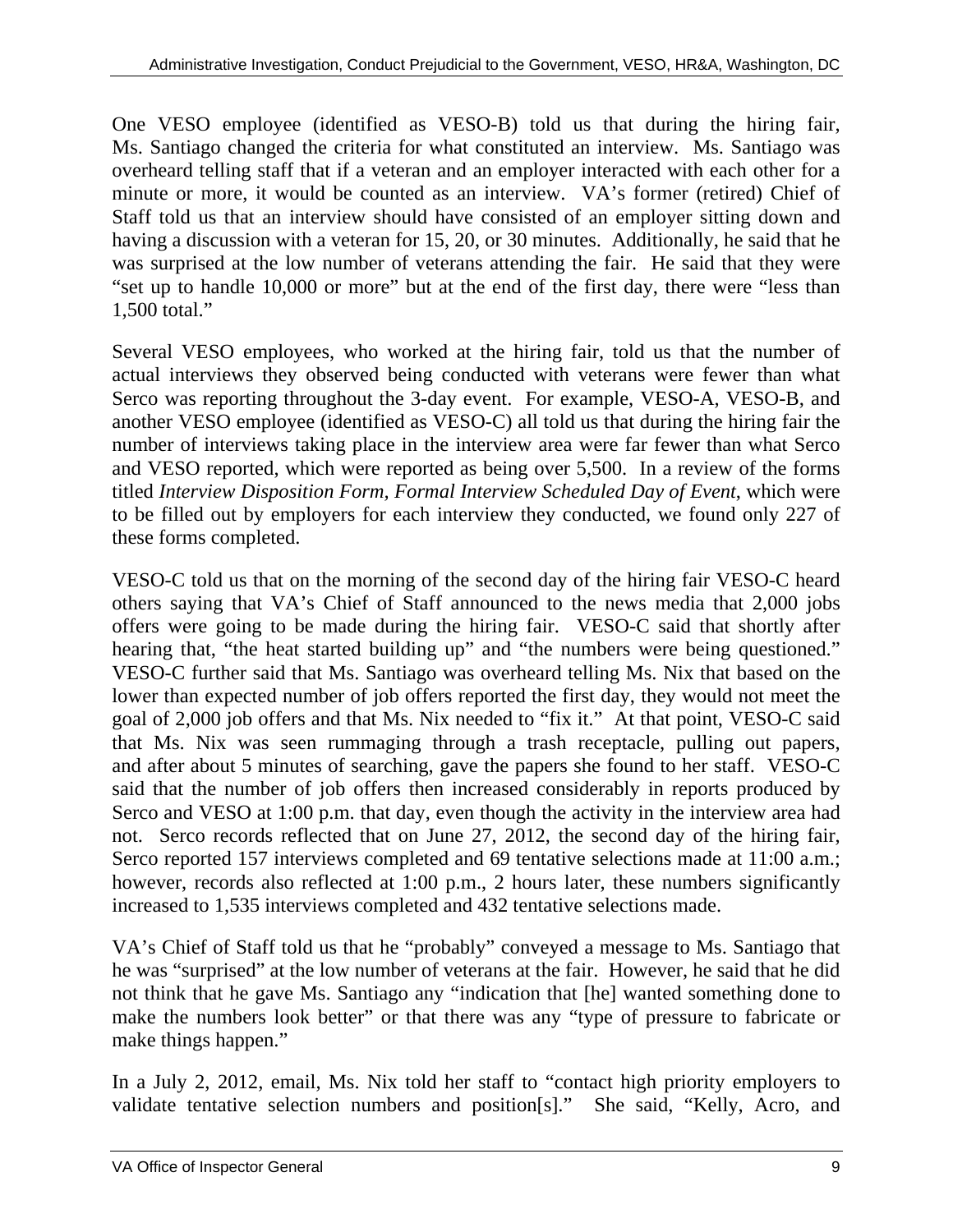One VESO employee (identified as VESO-B) told us that during the hiring fair, Ms. Santiago changed the criteria for what constituted an interview. Ms. Santiago was overheard telling staff that if a veteran and an employer interacted with each other for a minute or more, it would be counted as an interview. VA's former (retired) Chief of Staff told us that an interview should have consisted of an employer sitting down and having a discussion with a veteran for 15, 20, or 30 minutes. Additionally, he said that he was surprised at the low number of veterans attending the fair. He said that they were "set up to handle 10,000 or more" but at the end of the first day, there were "less than 1,500 total."

Several VESO employees, who worked at the hiring fair, told us that the number of actual interviews they observed being conducted with veterans were fewer than what Serco was reporting throughout the 3-day event. For example, VESO-A, VESO-B, and another VESO employee (identified as VESO-C) all told us that during the hiring fair the number of interviews taking place in the interview area were far fewer than what Serco and VESO reported, which were reported as being over 5,500. In a review of the forms titled *Interview Disposition Form, Formal Interview Scheduled Day of Event*, which were to be filled out by employers for each interview they conducted, we found only 227 of these forms completed.

VESO-C told us that on the morning of the second day of the hiring fair VESO-C heard others saying that VA's Chief of Staff announced to the news media that 2,000 jobs offers were going to be made during the hiring fair. VESO-C said that shortly after hearing that, "the heat started building up" and "the numbers were being questioned." VESO-C further said that Ms. Santiago was overheard telling Ms. Nix that based on the lower than expected number of job offers reported the first day, they would not meet the goal of 2,000 job offers and that Ms. Nix needed to "fix it." At that point, VESO-C said that Ms. Nix was seen rummaging through a trash receptacle, pulling out papers, and after about 5 minutes of searching, gave the papers she found to her staff. VESO-C said that the number of job offers then increased considerably in reports produced by Serco and VESO at 1:00 p.m. that day, even though the activity in the interview area had not. Serco records reflected that on June 27, 2012, the second day of the hiring fair, Serco reported 157 interviews completed and 69 tentative selections made at 11:00 a.m.; however, records also reflected at 1:00 p.m., 2 hours later, these numbers significantly increased to 1,535 interviews completed and 432 tentative selections made.

VA's Chief of Staff told us that he "probably" conveyed a message to Ms. Santiago that he was "surprised" at the low number of veterans at the fair. However, he said that he did not think that he gave Ms. Santiago any "indication that [he] wanted something done to make the numbers look better" or that there was any "type of pressure to fabricate or make things happen."

In a July 2, 2012, email, Ms. Nix told her staff to "contact high priority employers to validate tentative selection numbers and position[s]." She said, "Kelly, Acro, and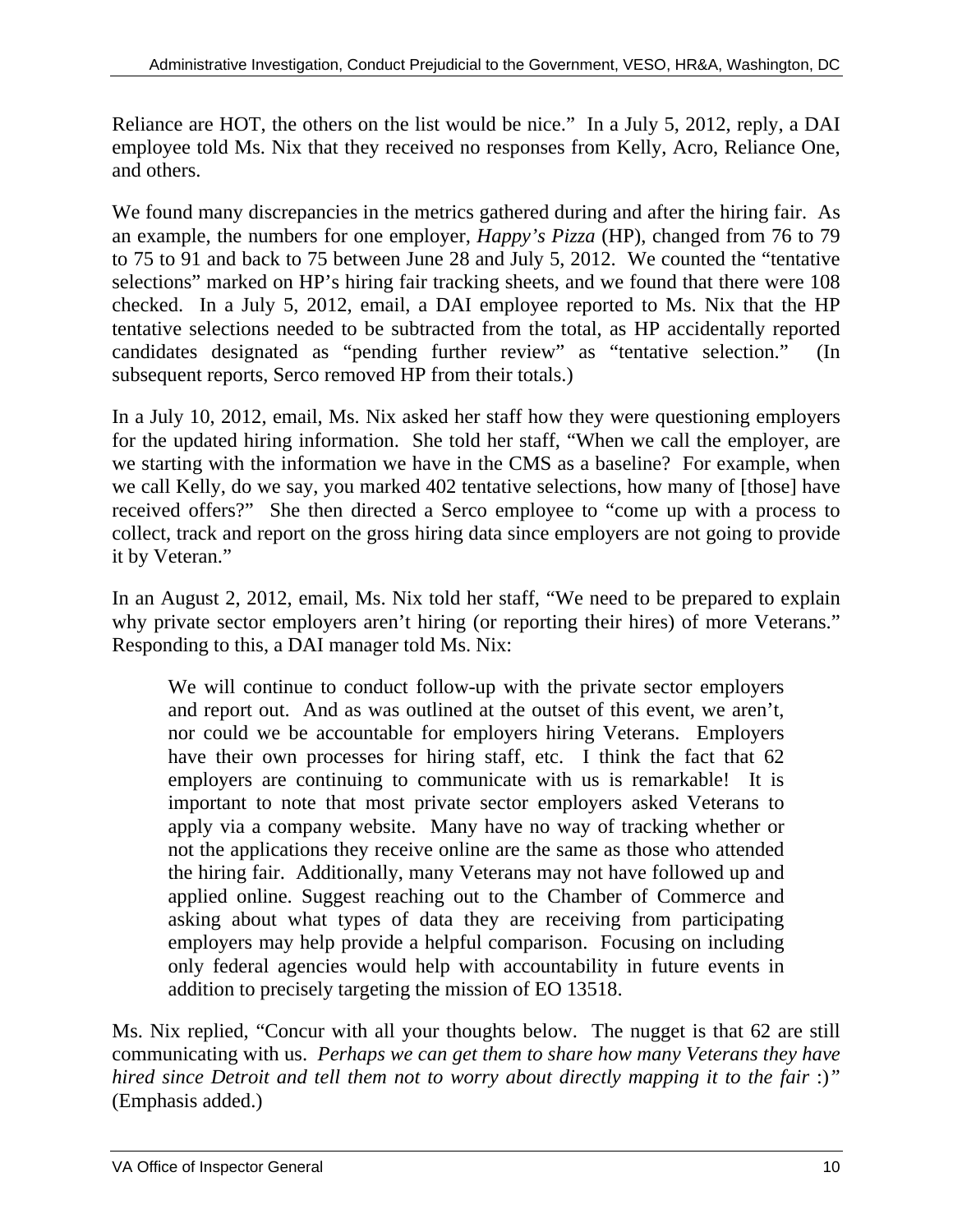Reliance are HOT, the others on the list would be nice." In a July 5, 2012, reply, a DAI employee told Ms. Nix that they received no responses from Kelly, Acro, Reliance One, and others.

We found many discrepancies in the metrics gathered during and after the hiring fair. As an example, the numbers for one employer, *Happy's Pizza* (HP), changed from 76 to 79 to 75 to 91 and back to 75 between June 28 and July 5, 2012. We counted the "tentative selections" marked on HP's hiring fair tracking sheets, and we found that there were 108 checked. In a July 5, 2012, email, a DAI employee reported to Ms. Nix that the HP tentative selections needed to be subtracted from the total, as HP accidentally reported candidates designated as "pending further review" as "tentative selection." (In subsequent reports, Serco removed HP from their totals.)

In a July 10, 2012, email, Ms. Nix asked her staff how they were questioning employers for the updated hiring information. She told her staff, "When we call the employer, are we starting with the information we have in the CMS as a baseline? For example, when we call Kelly, do we say, you marked 402 tentative selections, how many of [those] have received offers?" She then directed a Serco employee to "come up with a process to collect, track and report on the gross hiring data since employers are not going to provide it by Veteran."

In an August 2, 2012, email, Ms. Nix told her staff, "We need to be prepared to explain why private sector employers aren't hiring (or reporting their hires) of more Veterans." Responding to this, a DAI manager told Ms. Nix:

We will continue to conduct follow-up with the private sector employers and report out. And as was outlined at the outset of this event, we aren't, nor could we be accountable for employers hiring Veterans. Employers have their own processes for hiring staff, etc. I think the fact that 62 employers are continuing to communicate with us is remarkable! It is important to note that most private sector employers asked Veterans to apply via a company website. Many have no way of tracking whether or not the applications they receive online are the same as those who attended the hiring fair. Additionally, many Veterans may not have followed up and applied online. Suggest reaching out to the Chamber of Commerce and asking about what types of data they are receiving from participating employers may help provide a helpful comparison. Focusing on including only federal agencies would help with accountability in future events in addition to precisely targeting the mission of EO 13518.

Ms. Nix replied, "Concur with all your thoughts below. The nugget is that 62 are still communicating with us. *Perhaps we can get them to share how many Veterans they have hired since Detroit and tell them not to worry about directly mapping it to the fair* :)*"*  (Emphasis added.)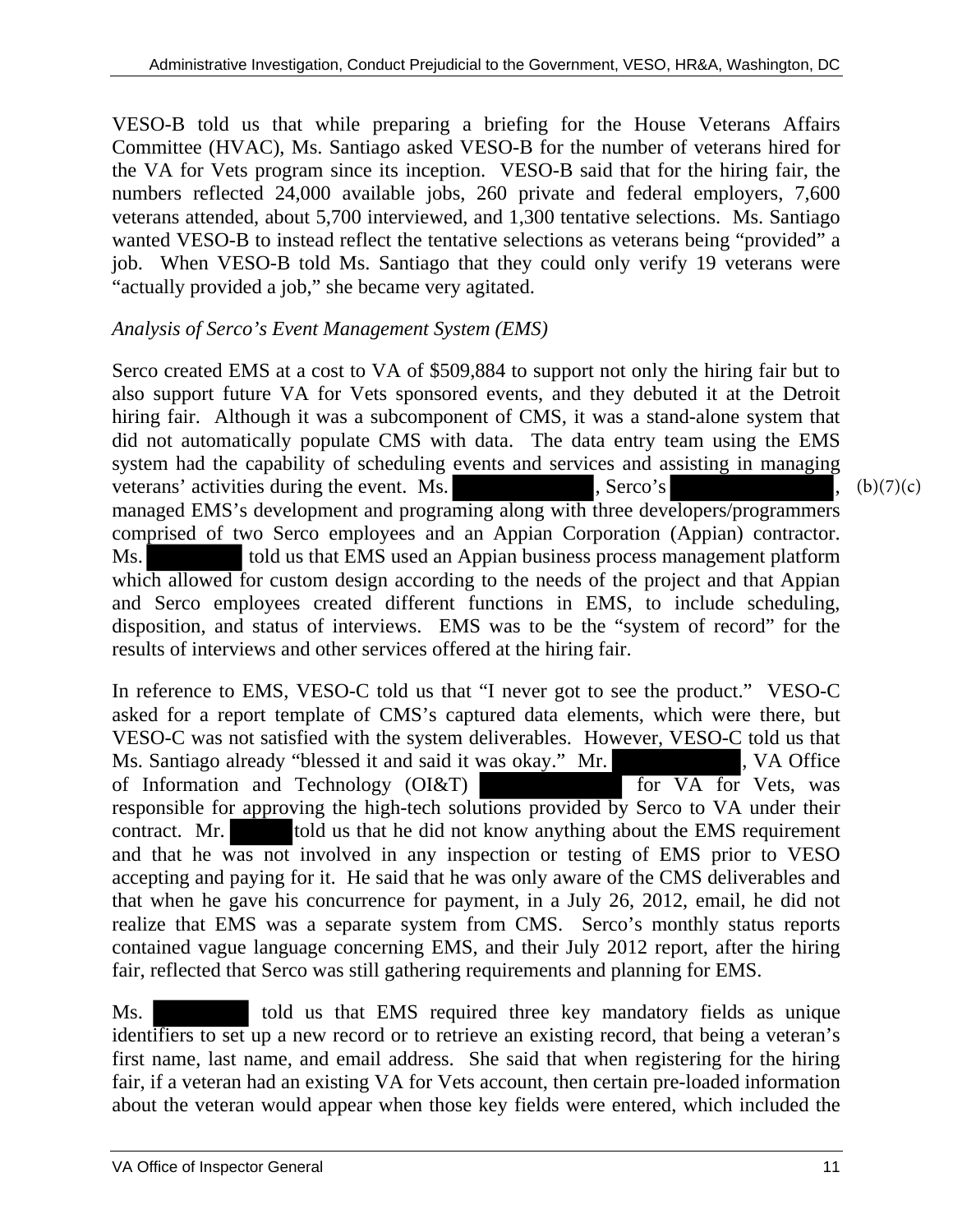VESO-B told us that while preparing a briefing for the House Veterans Affairs Committee (HVAC), Ms. Santiago asked VESO-B for the number of veterans hired for the VA for Vets program since its inception. VESO-B said that for the hiring fair, the numbers reflected 24,000 available jobs, 260 private and federal employers, 7,600 veterans attended, about 5,700 interviewed, and 1,300 tentative selections. Ms. Santiago wanted VESO-B to instead reflect the tentative selections as veterans being "provided" a job. When VESO-B told Ms. Santiago that they could only verify 19 veterans were "actually provided a job," she became very agitated.

#### *Analysis of Serco's Event Management System (EMS)*

Serco created EMS at a cost to VA of \$509,884 to support not only the hiring fair but to also support future VA for Vets sponsored events, and they debuted it at the Detroit hiring fair. Although it was a subcomponent of CMS, it was a stand-alone system that did not automatically populate CMS with data. The data entry team using the EMS system had the capability of scheduling events and services and assisting in managing veterans' activities during the event. Ms. , Serco's managed EMS's development and programing along with three developers/programmers comprised of two Serco employees and an Appian Corporation (Appian) contractor. Ms. told us that EMS used an Appian business process management platform which allowed for custom design according to the needs of the project and that Appian and Serco employees created different functions in EMS, to include scheduling, disposition, and status of interviews. EMS was to be the "system of record" for the results of interviews and other services offered at the hiring fair.

In reference to EMS, VESO-C told us that "I never got to see the product." VESO-C asked for a report template of CMS's captured data elements, which were there, but VESO-C was not satisfied with the system deliverables. However, VESO-C told us that Ms. Santiago already "blessed it and said it was okay." Mr. , VA Office of Information and Technology (OI&T) for VA for Vets, was responsible for approving the high-tech solutions provided by Serco to VA under their contract. Mr. told us that he did not know anything about the EMS requirement and that he was not involved in any inspection or testing of EMS prior to VESO accepting and paying for it. He said that he was only aware of the CMS deliverables and that when he gave his concurrence for payment, in a July 26, 2012, email, he did not realize that EMS was a separate system from CMS. Serco's monthly status reports contained vague language concerning EMS, and their July 2012 report, after the hiring fair, reflected that Serco was still gathering requirements and planning for EMS.

Ms. told us that EMS required three key mandatory fields as unique identifiers to set up a new record or to retrieve an existing record, that being a veteran's first name, last name, and email address. She said that when registering for the hiring fair, if a veteran had an existing VA for Vets account, then certain pre-loaded information about the veteran would appear when those key fields were entered, which included the

 $(b)(7)(c)$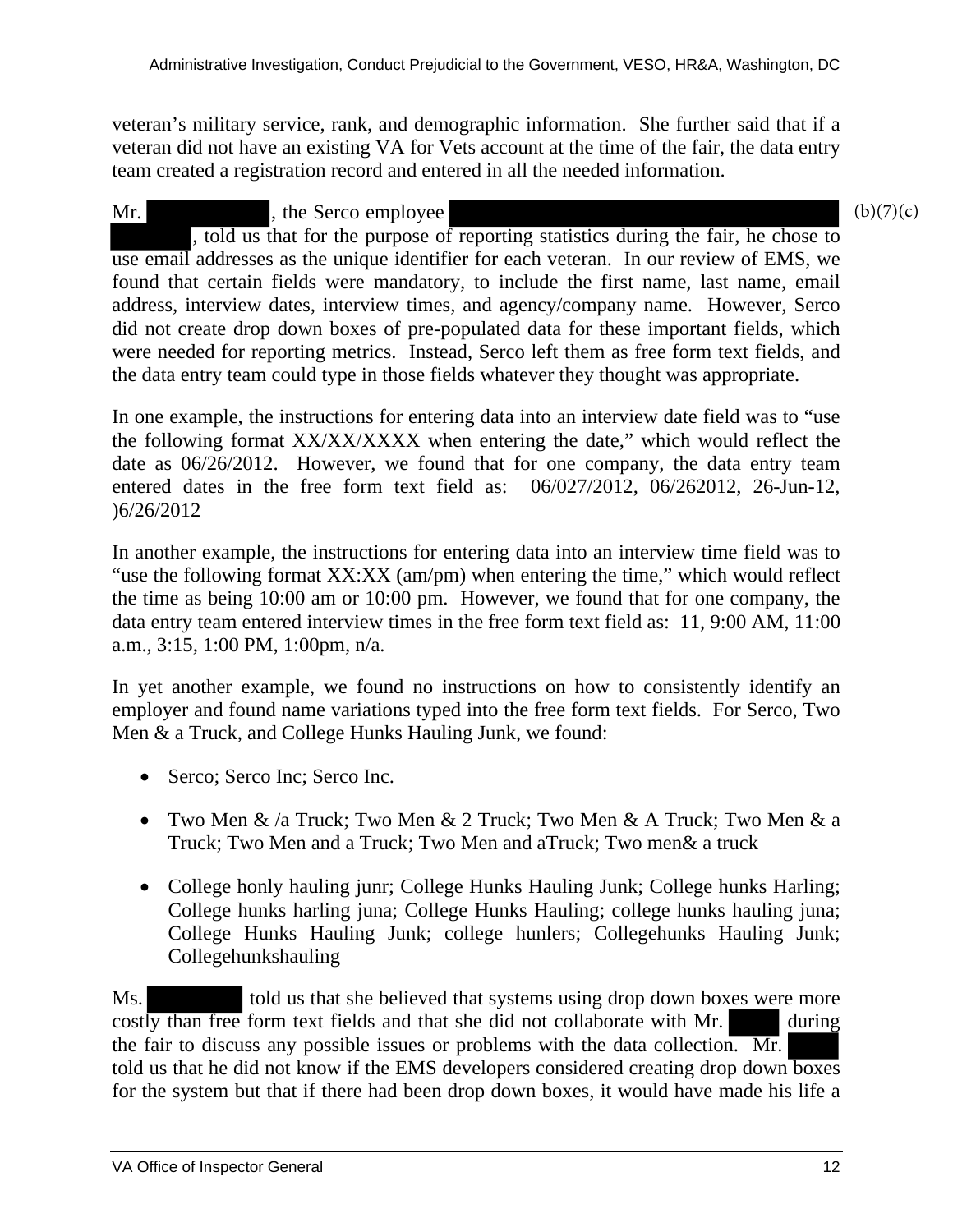veteran's military service, rank, and demographic information. She further said that if a veteran did not have an existing VA for Vets account at the time of the fair, the data entry team created a registration record and entered in all the needed information.

Mr. he Serco employee , told us that for the purpose of reporting statistics during the fair, he chose to use email addresses as the unique identifier for each veteran. In our review of EMS, we found that certain fields were mandatory, to include the first name, last name, email address, interview dates, interview times, and agency/company name. However, Serco did not create drop down boxes of pre-populated data for these important fields, which were needed for reporting metrics. Instead, Serco left them as free form text fields, and the data entry team could type in those fields whatever they thought was appropriate.

In one example, the instructions for entering data into an interview date field was to "use the following format XX/XX/XXXX when entering the date," which would reflect the date as 06/26/2012. However, we found that for one company, the data entry team entered dates in the free form text field as: 06/027/2012, 06/262012, 26-Jun-12, )6/26/2012

In another example, the instructions for entering data into an interview time field was to "use the following format XX:XX (am/pm) when entering the time," which would reflect the time as being 10:00 am or 10:00 pm. However, we found that for one company, the data entry team entered interview times in the free form text field as: 11, 9:00 AM, 11:00 a.m., 3:15, 1:00 PM, 1:00pm, n/a.

In yet another example, we found no instructions on how to consistently identify an employer and found name variations typed into the free form text fields. For Serco, Two Men & a Truck, and College Hunks Hauling Junk, we found:

- Serco; Serco Inc; Serco Inc.
- Two Men & /a Truck; Two Men & 2 Truck; Two Men & A Truck; Two Men & a Truck; Two Men and a Truck; Two Men and aTruck; Two men& a truck
- College honly hauling junr; College Hunks Hauling Junk; College hunks Harling; College hunks harling juna; College Hunks Hauling; college hunks hauling juna; College Hunks Hauling Junk; college hunlers; Collegehunks Hauling Junk; Collegehunkshauling

Ms. told us that she believed that systems using drop down boxes were more costly than free form text fields and that she did not collaborate with Mr. the fair to discuss any possible issues or problems with the data collection. Mr. told us that he did not know if the EMS developers considered creating drop down boxes for the system but that if there had been drop down boxes, it would have made his life a

 $(b)(7)(c)$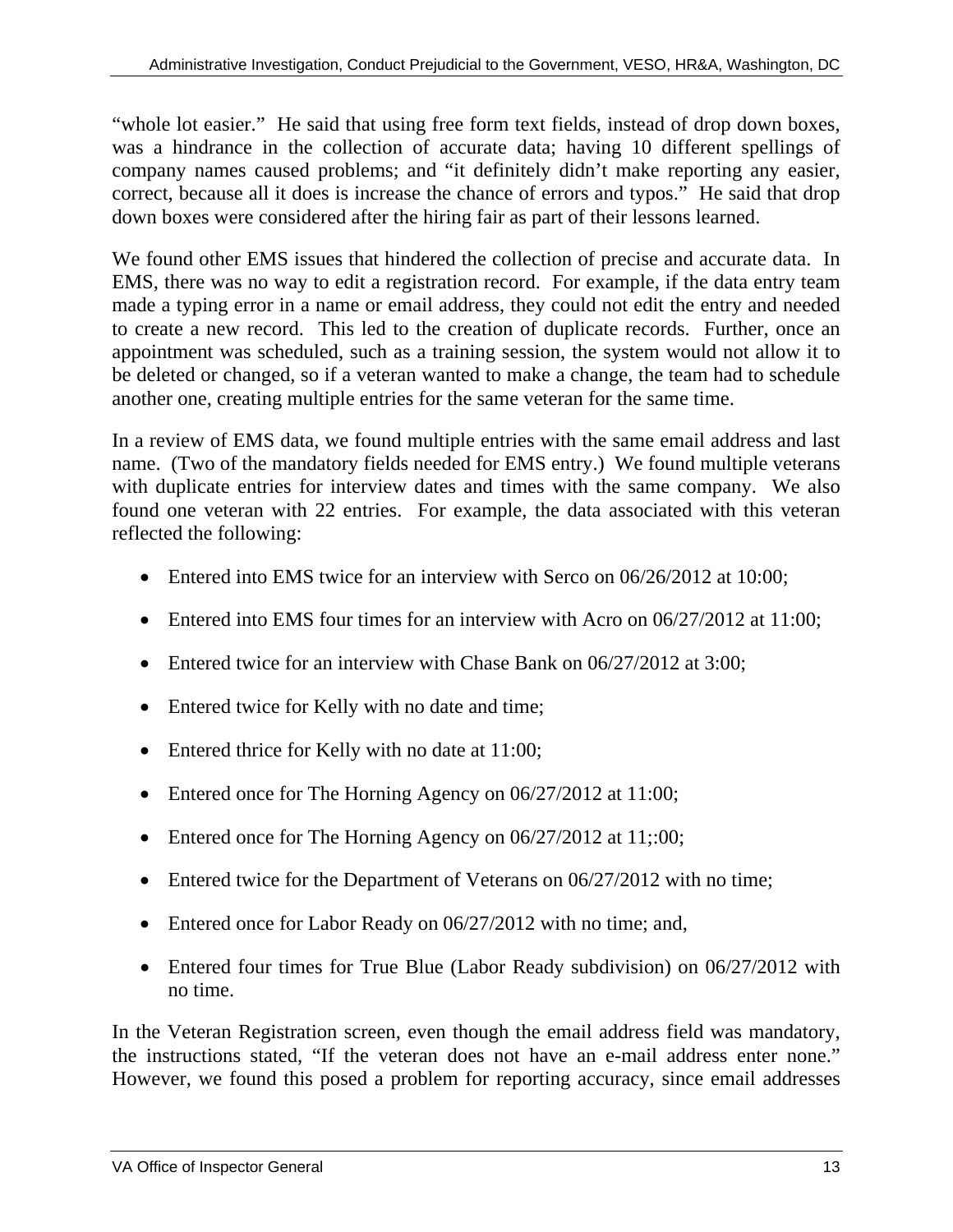"whole lot easier." He said that using free form text fields, instead of drop down boxes, was a hindrance in the collection of accurate data; having 10 different spellings of company names caused problems; and "it definitely didn't make reporting any easier, correct, because all it does is increase the chance of errors and typos." He said that drop down boxes were considered after the hiring fair as part of their lessons learned.

We found other EMS issues that hindered the collection of precise and accurate data. In EMS, there was no way to edit a registration record. For example, if the data entry team made a typing error in a name or email address, they could not edit the entry and needed to create a new record. This led to the creation of duplicate records. Further, once an appointment was scheduled, such as a training session, the system would not allow it to be deleted or changed, so if a veteran wanted to make a change, the team had to schedule another one, creating multiple entries for the same veteran for the same time.

In a review of EMS data, we found multiple entries with the same email address and last name. (Two of the mandatory fields needed for EMS entry.) We found multiple veterans with duplicate entries for interview dates and times with the same company. We also found one veteran with 22 entries. For example, the data associated with this veteran reflected the following:

- Entered into EMS twice for an interview with Serco on 06/26/2012 at 10:00;
- Entered into EMS four times for an interview with Acro on 06/27/2012 at 11:00;
- $\bullet$  Entered twice for an interview with Chase Bank on 06/27/2012 at 3:00:
- Entered twice for Kelly with no date and time;
- Entered thrice for Kelly with no date at 11:00;
- Entered once for The Horning Agency on 06/27/2012 at 11:00;
- Entered once for The Horning Agency on 06/27/2012 at 11;:00;
- Entered twice for the Department of Veterans on 06/27/2012 with no time;
- Entered once for Labor Ready on 06/27/2012 with no time; and,
- Entered four times for True Blue (Labor Ready subdivision) on 06/27/2012 with no time.

the instructions stated, "If the veteran does not have an e-mail address enter none." In the Veteran Registration screen, even though the email address field was mandatory, However, we found this posed a problem for reporting accuracy, since email addresses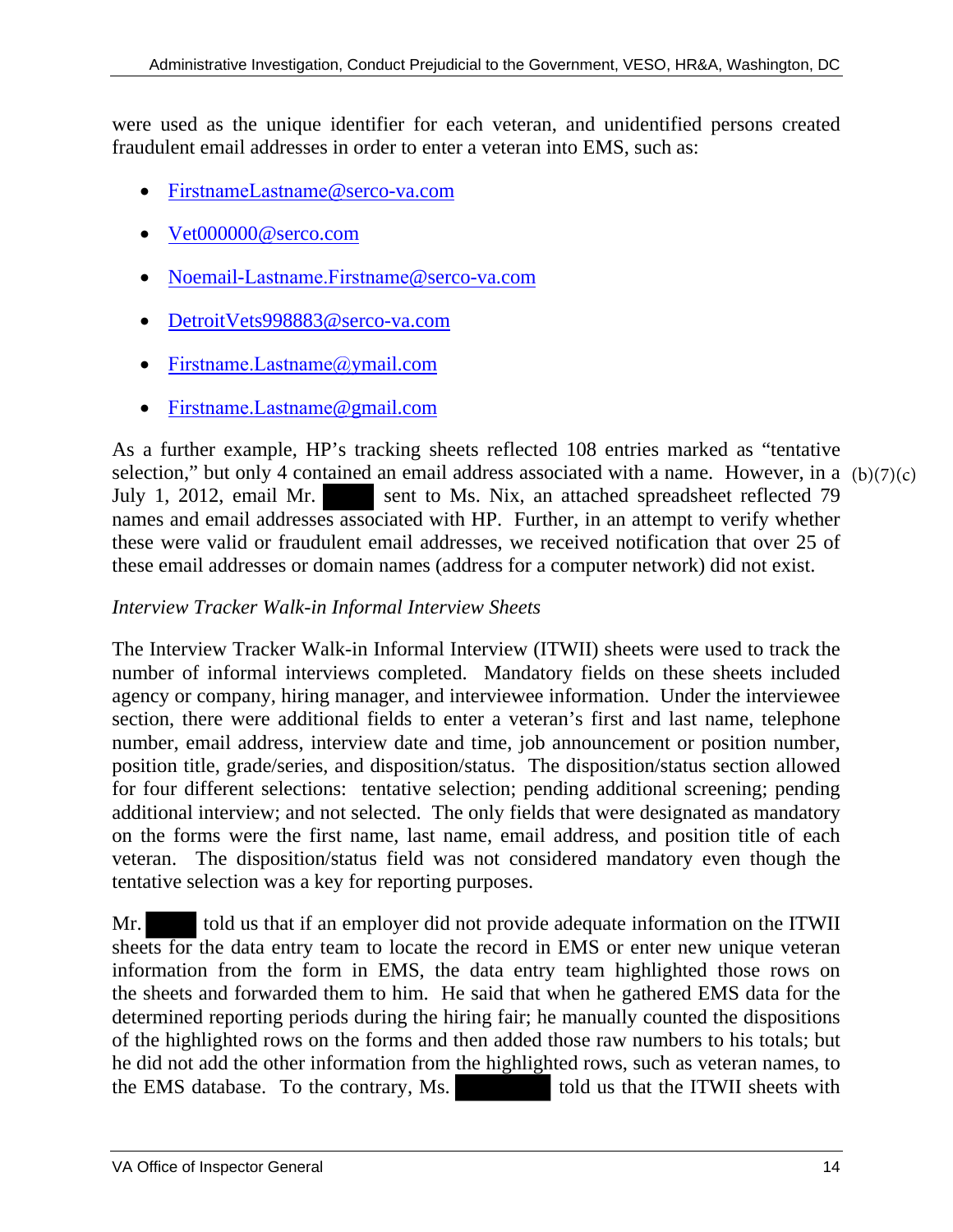were used as the unique identifier for each veteran, and unidentified persons created fraudulent email addresses in order to enter a veteran into EMS, such as:

- [FirstnameLastname](mailto:Johnsmith@serco-va.com)@serco-va.com
- [Vet000000@serco.com](mailto:Vet000000@serco.com)
- Noemail-[Lastname.Firstname](mailto:Noemail-smith.john@serco-va.com)@serco-va.com
- [DetroitVets998883@serco-va.com](mailto:DetroitVets998883@serco-va.com)
- [Firstname.Lastname@](mailto:John.Smith@ymail.com)ymail.com
- [Firstname](mailto:John.Smith@gmail.com).Lastname[@gmail.com](mailto:Firstname.Lastname@gmail.com)

As a further example, HP's tracking sheets reflected 108 entries marked as "tentative selection," but only 4 contained an email address associated with a name. However, in a (b)(7)(c) July 1, 2012, email Mr. sent to Ms. Nix, an attached spreadsheet reflected 79 names and email addresses associated with HP. Further, in an attempt to verify whether these were valid or fraudulent email addresses, we received notification that over 25 of these email addresses or domain names (address for a computer network) did not exist.

#### *Interview Tracker Walk-in Informal Interview Sheets*

The Interview Tracker Walk-in Informal Interview (ITWII) sheets were used to track the number of informal interviews completed. Mandatory fields on these sheets included agency or company, hiring manager, and interviewee information. Under the interviewee section, there were additional fields to enter a veteran's first and last name, telephone number, email address, interview date and time, job announcement or position number, position title, grade/series, and disposition/status. The disposition/status section allowed for four different selections: tentative selection; pending additional screening; pending additional interview; and not selected. The only fields that were designated as mandatory on the forms were the first name, last name, email address, and position title of each veteran. The disposition/status field was not considered mandatory even though the tentative selection was a key for reporting purposes.

Mr. told us that if an employer did not provide adequate information on the ITWII sheets for the data entry team to locate the record in EMS or enter new unique veteran information from the form in EMS, the data entry team highlighted those rows on the sheets and forwarded them to him. He said that when he gathered EMS data for the determined reporting periods during the hiring fair; he manually counted the dispositions of the highlighted rows on the forms and then added those raw numbers to his totals; but he did not add the other information from the highlighted rows, such as veteran names, to the EMS database. To the contrary, Ms. told us that the ITWII sheets with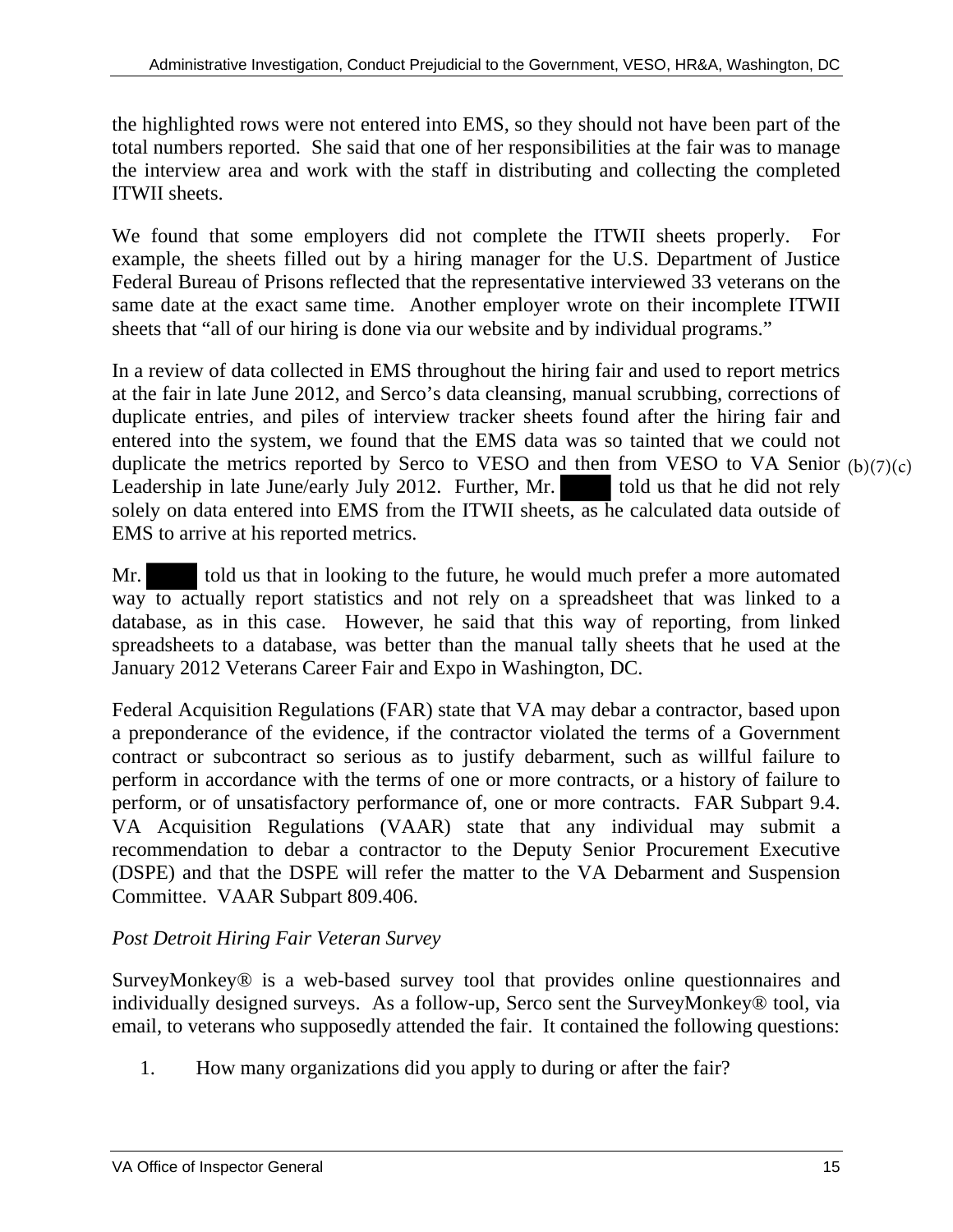the highlighted rows were not entered into EMS, so they should not have been part of the total numbers reported. She said that one of her responsibilities at the fair was to manage the interview area and work with the staff in distributing and collecting the completed ITWII sheets.

We found that some employers did not complete the ITWII sheets properly. For example, the sheets filled out by a hiring manager for the U.S. Department of Justice Federal Bureau of Prisons reflected that the representative interviewed 33 veterans on the same date at the exact same time. Another employer wrote on their incomplete ITWII sheets that "all of our hiring is done via our website and by individual programs."

In a review of data collected in EMS throughout the hiring fair and used to report metrics at the fair in late June 2012, and Serco's data cleansing, manual scrubbing, corrections of duplicate entries, and piles of interview tracker sheets found after the hiring fair and entered into the system, we found that the EMS data was so tainted that we could not duplicate the metrics reported by Serco to VESO and then from VESO to VA Senior (b)(7)(c) Leadership in late June/early July 2012. Further, Mr. told us that he did not rely solely on data entered into EMS from the ITWII sheets, as he calculated data outside of EMS to arrive at his reported metrics.

Mr. told us that in looking to the future, he would much prefer a more automated way to actually report statistics and not rely on a spreadsheet that was linked to a database, as in this case. However, he said that this way of reporting, from linked spreadsheets to a database, was better than the manual tally sheets that he used at the January 2012 Veterans Career Fair and Expo in Washington, DC.

Federal Acquisition Regulations (FAR) state that VA may debar a contractor, based upon a preponderance of the evidence, if the contractor violated the terms of a Government contract or subcontract so serious as to justify debarment, such as willful failure to perform in accordance with the terms of one or more contracts, or a history of failure to perform, or of unsatisfactory performance of, one or more contracts. FAR Subpart 9.4. VA Acquisition Regulations (VAAR) state that any individual may submit a recommendation to debar a contractor to the Deputy Senior Procurement Executive (DSPE) and that the DSPE will refer the matter to the VA Debarment and Suspension Committee. VAAR Subpart 809.406.

#### *Post Detroit Hiring Fair Veteran Survey*

SurveyMonkey® is a web-based survey tool that provides online questionnaires and individually designed surveys. As a follow-up, Serco sent the SurveyMonkey® tool, via email, to veterans who supposedly attended the fair. It contained the following questions:

1. How many organizations did you apply to during or after the fair?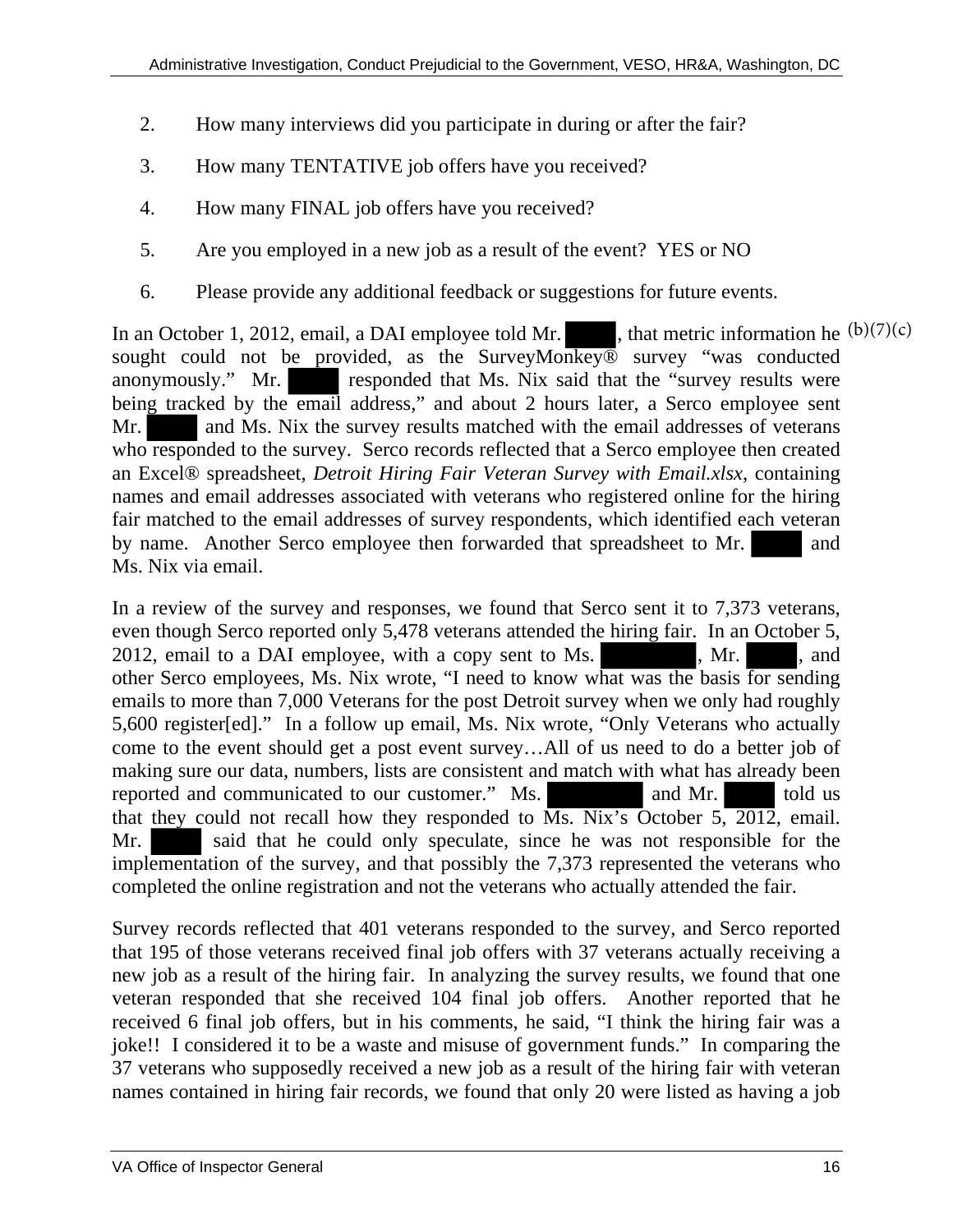- 2. How many interviews did you participate in during or after the fair?
- 3. How many TENTATIVE job offers have you received?
- 4. How many FINAL job offers have you received?
- 5. Are you employed in a new job as a result of the event? YES or NO
- 6. Please provide any additional feedback or suggestions for future events.

In an October 1, 2012, email, a DAI employee told Mr. sought could not be provided, as the SurveyMonkey® survey "was conducted anonymously." Mr. responded that Ms. Nix said that the "survey results were being tracked by the email address," and about 2 hours later, a Serco employee sent Mr. and Ms. Nix the survey results matched with the email addresses of veterans who responded to the survey. Serco records reflected that a Serco employee then created an Excel® spreadsheet, *Detroit Hiring Fair Veteran Survey with Email.xlsx*, containing names and email addresses associated with veterans who registered online for the hiring fair matched to the email addresses of survey respondents, which identified each veteran by name. Another Serco employee then forwarded that spreadsheet to Mr. and Ms. Nix via email. , that metric information he  $(b)(7)(c)$ 

In a review of the survey and responses, we found that Serco sent it to 7,373 veterans, even though Serco reported only 5,478 veterans attended the hiring fair. In an October 5, 2012, email to a DAI employee, with a copy sent to Ms. , Mr. , Mr. , and other Serco employees, Ms. Nix wrote, "I need to know what was the basis for sending emails to more than 7,000 Veterans for the post Detroit survey when we only had roughly 5,600 register[ed]." In a follow up email, Ms. Nix wrote, "Only Veterans who actually come to the event should get a post event survey…All of us need to do a better job of making sure our data, numbers, lists are consistent and match with what has already been reported and communicated to our customer." Ms. and Mr. told us that they could not recall how they responded to  $\overline{Ms}$ . Nix's October 5, 2012, email. Mr. Said that he could only speculate, since he was not responsible for the implementation of the survey, and that possibly the 7,373 represented the veterans who completed the online registration and not the veterans who actually attended the fair.

Survey records reflected that 401 veterans responded to the survey, and Serco reported that 195 of those veterans received final job offers with 37 veterans actually receiving a new job as a result of the hiring fair. In analyzing the survey results, we found that one veteran responded that she received 104 final job offers. Another reported that he received 6 final job offers, but in his comments, he said, "I think the hiring fair was a joke!! I considered it to be a waste and misuse of government funds." In comparing the 37 veterans who supposedly received a new job as a result of the hiring fair with veteran names contained in hiring fair records, we found that only 20 were listed as having a job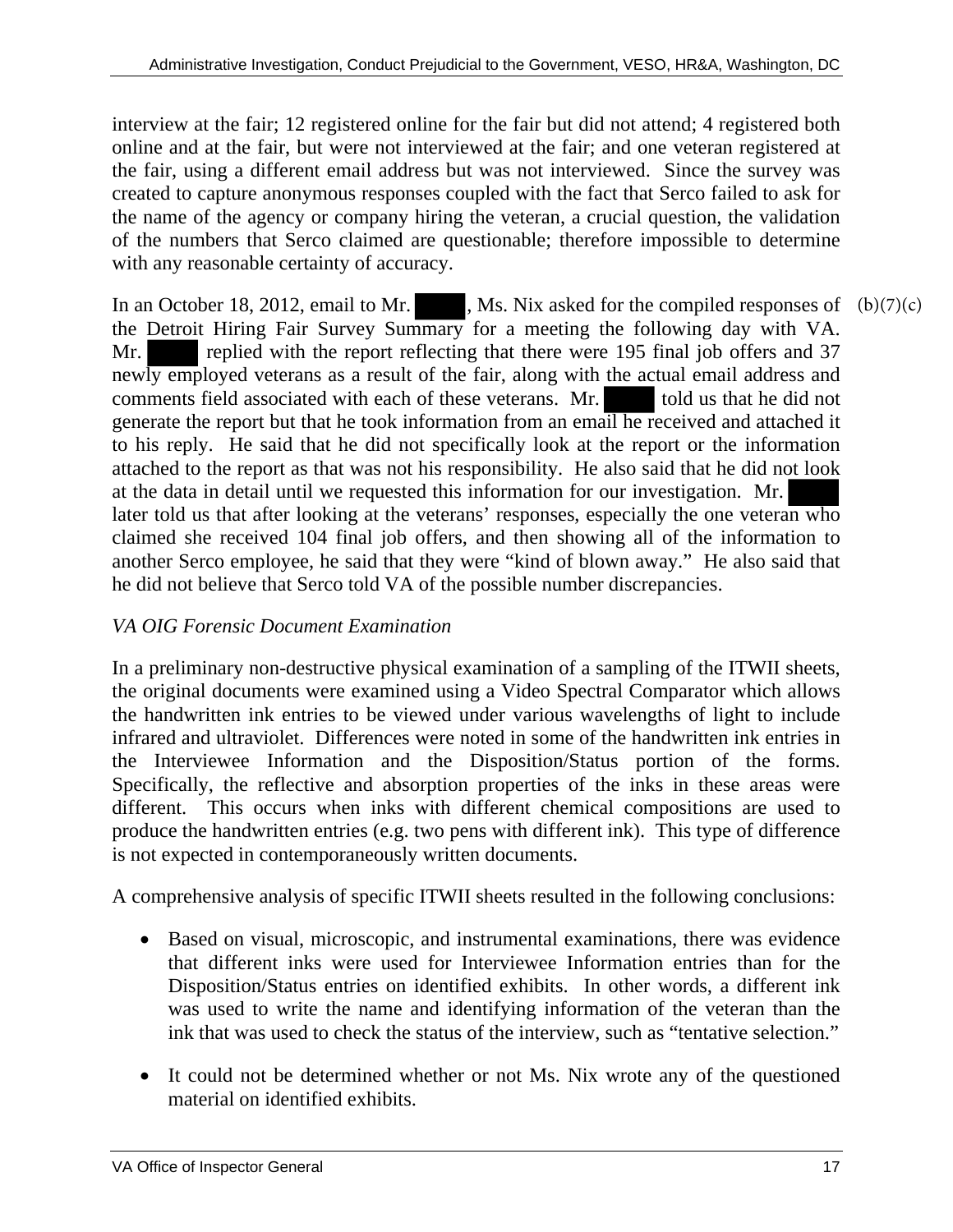interview at the fair; 12 registered online for the fair but did not attend; 4 registered both online and at the fair, but were not interviewed at the fair; and one veteran registered at the fair, using a different email address but was not interviewed. Since the survey was created to capture anonymous responses coupled with the fact that Serco failed to ask for the name of the agency or company hiring the veteran, a crucial question, the validation of the numbers that Serco claimed are questionable; therefore impossible to determine with any reasonable certainty of accuracy.

In an October 18, 2012, email to Mr. , Ms. Nix asked for the compiled responses of  $(b)(7)(c)$ the Detroit Hiring Fair Survey Summary for a meeting the following day with VA. Mr. replied with the report reflecting that there were 195 final job offers and 37 newly employed veterans as a result of the fair, along with the actual email address and comments field associated with each of these veterans. Mr. told us that he did not generate the report but that he took information from an email he received and attached it to his reply. He said that he did not specifically look at the report or the information attached to the report as that was not his responsibility. He also said that he did not look at the data in detail until we requested this information for our investigation. Mr. later told us that after looking at the veterans' responses, especially the one veteran who claimed she received 104 final job offers, and then showing all of the information to another Serco employee, he said that they were "kind of blown away." He also said that he did not believe that Serco told VA of the possible number discrepancies.

#### *VA OIG Forensic Document Examination*

In a preliminary non-destructive physical examination of a sampling of the ITWII sheets, the original documents were examined using a Video Spectral Comparator which allows the handwritten ink entries to be viewed under various wavelengths of light to include infrared and ultraviolet. Differences were noted in some of the handwritten ink entries in the Interviewee Information and the Disposition/Status portion of the forms. Specifically, the reflective and absorption properties of the inks in these areas were different. This occurs when inks with different chemical compositions are used to produce the handwritten entries (e.g. two pens with different ink). This type of difference is not expected in contemporaneously written documents.

A comprehensive analysis of specific ITWII sheets resulted in the following conclusions:

- Based on visual, microscopic, and instrumental examinations, there was evidence that different inks were used for Interviewee Information entries than for the Disposition/Status entries on identified exhibits. In other words, a different ink was used to write the name and identifying information of the veteran than the ink that was used to check the status of the interview, such as "tentative selection."
- It could not be determined whether or not Ms. Nix wrote any of the questioned material on identified exhibits.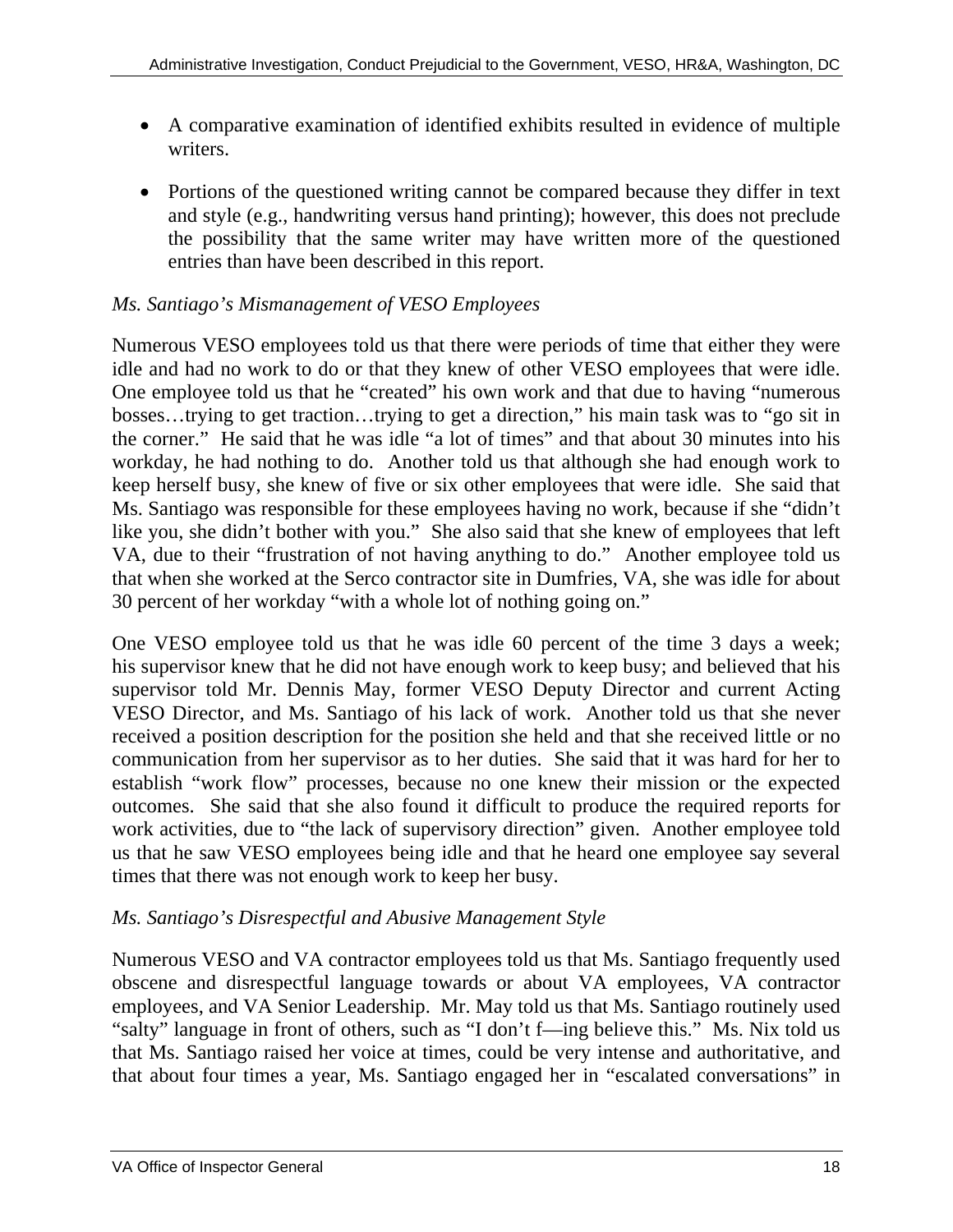- A comparative examination of identified exhibits resulted in evidence of multiple writers.
- Portions of the questioned writing cannot be compared because they differ in text and style (e.g., handwriting versus hand printing); however, this does not preclude the possibility that the same writer may have written more of the questioned entries than have been described in this report.

#### *Ms. Santiago's Mismanagement of VESO Employees*

Numerous VESO employees told us that there were periods of time that either they were idle and had no work to do or that they knew of other VESO employees that were idle. One employee told us that he "created" his own work and that due to having "numerous bosses…trying to get traction…trying to get a direction," his main task was to "go sit in the corner." He said that he was idle "a lot of times" and that about 30 minutes into his workday, he had nothing to do. Another told us that although she had enough work to keep herself busy, she knew of five or six other employees that were idle. She said that Ms. Santiago was responsible for these employees having no work, because if she "didn't like you, she didn't bother with you." She also said that she knew of employees that left VA, due to their "frustration of not having anything to do." Another employee told us that when she worked at the Serco contractor site in Dumfries, VA, she was idle for about 30 percent of her workday "with a whole lot of nothing going on."

One VESO employee told us that he was idle 60 percent of the time 3 days a week; his supervisor knew that he did not have enough work to keep busy; and believed that his supervisor told Mr. Dennis May, former VESO Deputy Director and current Acting VESO Director, and Ms. Santiago of his lack of work. Another told us that she never received a position description for the position she held and that she received little or no communication from her supervisor as to her duties. She said that it was hard for her to establish "work flow" processes, because no one knew their mission or the expected outcomes. She said that she also found it difficult to produce the required reports for work activities, due to "the lack of supervisory direction" given. Another employee told us that he saw VESO employees being idle and that he heard one employee say several times that there was not enough work to keep her busy.

## *Ms. Santiago's Disrespectful and Abusive Management Style*

Numerous VESO and VA contractor employees told us that Ms. Santiago frequently used obscene and disrespectful language towards or about VA employees, VA contractor employees, and VA Senior Leadership. Mr. May told us that Ms. Santiago routinely used "salty" language in front of others, such as "I don't f—ing believe this." Ms. Nix told us that Ms. Santiago raised her voice at times, could be very intense and authoritative, and that about four times a year, Ms. Santiago engaged her in "escalated conversations" in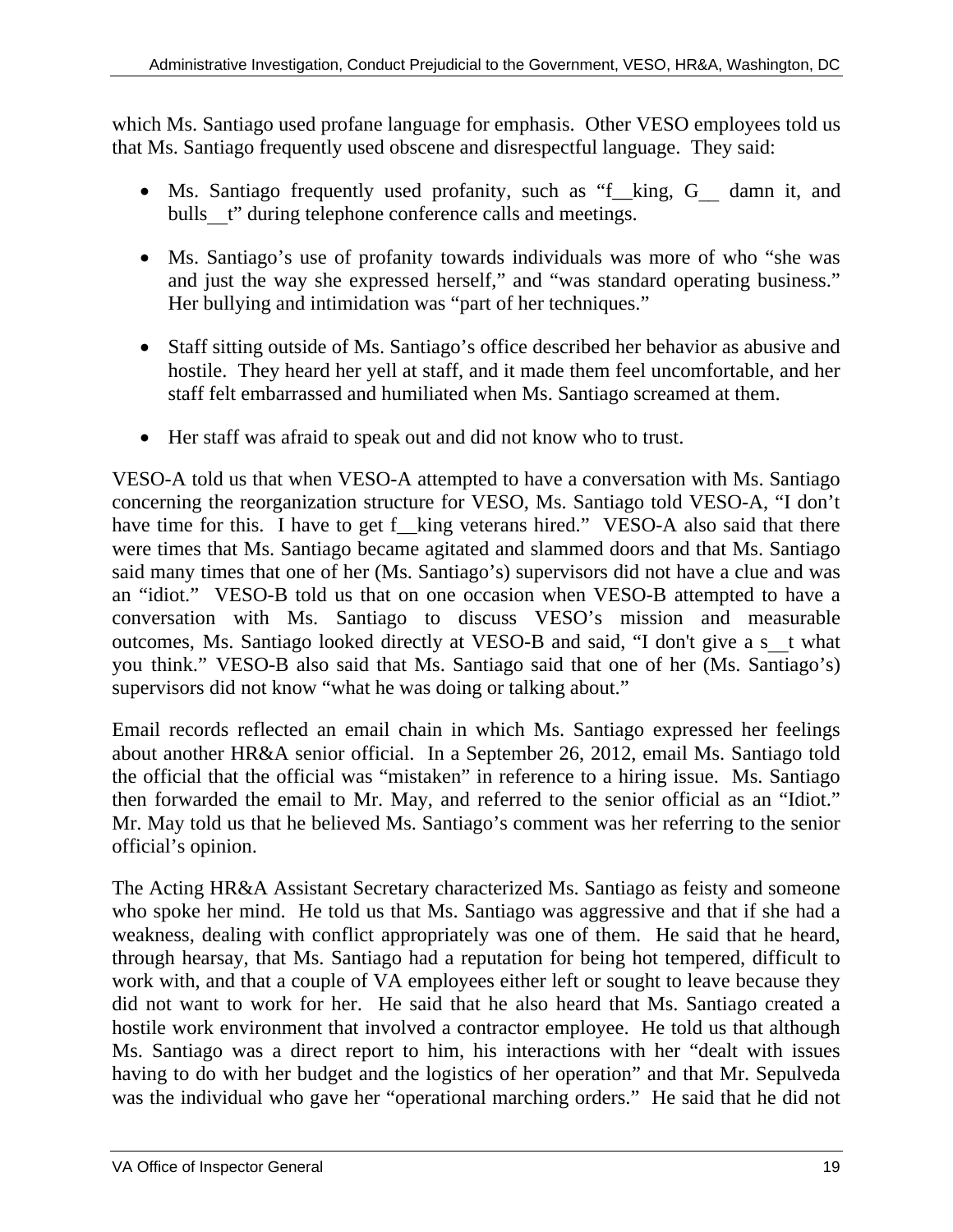which Ms. Santiago used profane language for emphasis. Other VESO employees told us that Ms. Santiago frequently used obscene and disrespectful language. They said:

- Ms. Santiago frequently used profanity, such as "f\_king, G\_ damn it, and bulls t" during telephone conference calls and meetings.
- Ms. Santiago's use of profanity towards individuals was more of who "she was and just the way she expressed herself," and "was standard operating business." Her bullying and intimidation was "part of her techniques."
- Staff sitting outside of Ms. Santiago's office described her behavior as abusive and hostile. They heard her yell at staff, and it made them feel uncomfortable, and her staff felt embarrassed and humiliated when Ms. Santiago screamed at them.
- Her staff was afraid to speak out and did not know who to trust.

VESO-A told us that when VESO-A attempted to have a conversation with Ms. Santiago concerning the reorganization structure for VESO, Ms. Santiago told VESO-A, "I don't have time for this. I have to get f\_king veterans hired." VESO-A also said that there were times that Ms. Santiago became agitated and slammed doors and that Ms. Santiago said many times that one of her (Ms. Santiago's) supervisors did not have a clue and was an "idiot." VESO-B told us that on one occasion when VESO-B attempted to have a conversation with Ms. Santiago to discuss VESO's mission and measurable outcomes, Ms. Santiago looked directly at VESO-B and said, "I don't give a s\_\_t what you think." VESO-B also said that Ms. Santiago said that one of her (Ms. Santiago's) supervisors did not know "what he was doing or talking about."

Email records reflected an email chain in which Ms. Santiago expressed her feelings about another HR&A senior official. In a September 26, 2012, email Ms. Santiago told the official that the official was "mistaken" in reference to a hiring issue. Ms. Santiago then forwarded the email to Mr. May, and referred to the senior official as an "Idiot." Mr. May told us that he believed Ms. Santiago's comment was her referring to the senior official's opinion.

The Acting HR&A Assistant Secretary characterized Ms. Santiago as feisty and someone who spoke her mind. He told us that Ms. Santiago was aggressive and that if she had a weakness, dealing with conflict appropriately was one of them. He said that he heard, through hearsay, that Ms. Santiago had a reputation for being hot tempered, difficult to work with, and that a couple of VA employees either left or sought to leave because they did not want to work for her. He said that he also heard that Ms. Santiago created a hostile work environment that involved a contractor employee. He told us that although Ms. Santiago was a direct report to him, his interactions with her "dealt with issues having to do with her budget and the logistics of her operation" and that Mr. Sepulveda was the individual who gave her "operational marching orders." He said that he did not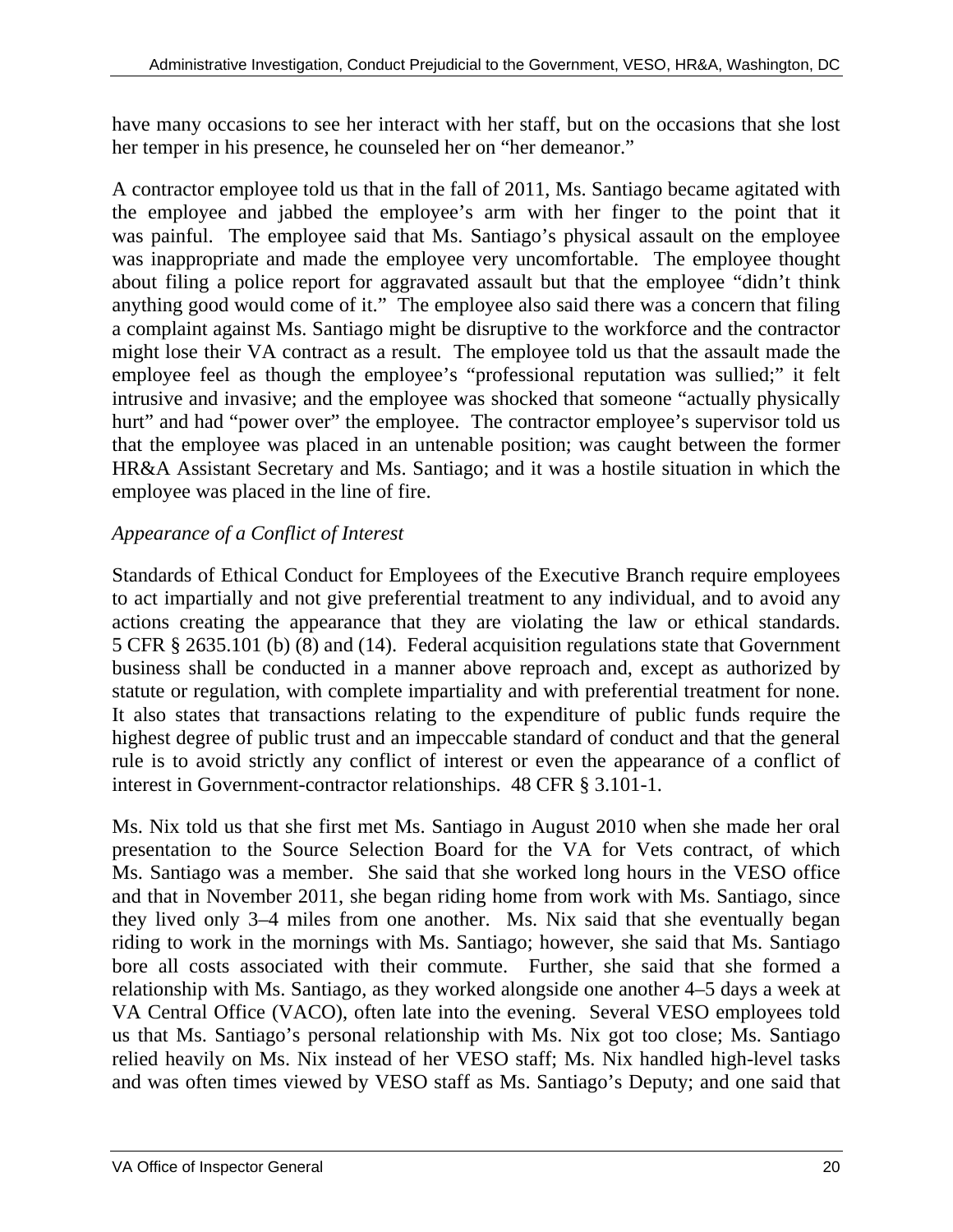have many occasions to see her interact with her staff, but on the occasions that she lost her temper in his presence, he counseled her on "her demeanor."

A contractor employee told us that in the fall of 2011, Ms. Santiago became agitated with the employee and jabbed the employee's arm with her finger to the point that it was painful. The employee said that Ms. Santiago's physical assault on the employee was inappropriate and made the employee very uncomfortable. The employee thought about filing a police report for aggravated assault but that the employee "didn't think anything good would come of it." The employee also said there was a concern that filing a complaint against Ms. Santiago might be disruptive to the workforce and the contractor might lose their VA contract as a result. The employee told us that the assault made the employee feel as though the employee's "professional reputation was sullied;" it felt intrusive and invasive; and the employee was shocked that someone "actually physically hurt" and had "power over" the employee. The contractor employee's supervisor told us that the employee was placed in an untenable position; was caught between the former HR&A Assistant Secretary and Ms. Santiago; and it was a hostile situation in which the employee was placed in the line of fire.

# *Appearance of a Conflict of Interest*

Standards of Ethical Conduct for Employees of the Executive Branch require employees to act impartially and not give preferential treatment to any individual, and to avoid any actions creating the appearance that they are violating the law or ethical standards. 5 CFR § 2635.101 (b) (8) and (14). Federal acquisition regulations state that Government business shall be conducted in a manner above reproach and, except as authorized by statute or regulation, with complete impartiality and with preferential treatment for none. It also states that transactions relating to the expenditure of public funds require the highest degree of public trust and an impeccable standard of conduct and that the general rule is to avoid strictly any conflict of interest or even the appearance of a conflict of interest in Government-contractor relationships. 48 CFR § 3.101-1.

Ms. Nix told us that she first met Ms. Santiago in August 2010 when she made her oral presentation to the Source Selection Board for the VA for Vets contract, of which Ms. Santiago was a member. She said that she worked long hours in the VESO office and that in November 2011, she began riding home from work with Ms. Santiago, since they lived only 3–4 miles from one another. Ms. Nix said that she eventually began riding to work in the mornings with Ms. Santiago; however, she said that Ms. Santiago bore all costs associated with their commute. Further, she said that she formed a relationship with Ms. Santiago, as they worked alongside one another 4–5 days a week at VA Central Office (VACO), often late into the evening. Several VESO employees told us that Ms. Santiago's personal relationship with Ms. Nix got too close; Ms. Santiago relied heavily on Ms. Nix instead of her VESO staff; Ms. Nix handled high-level tasks and was often times viewed by VESO staff as Ms. Santiago's Deputy; and one said that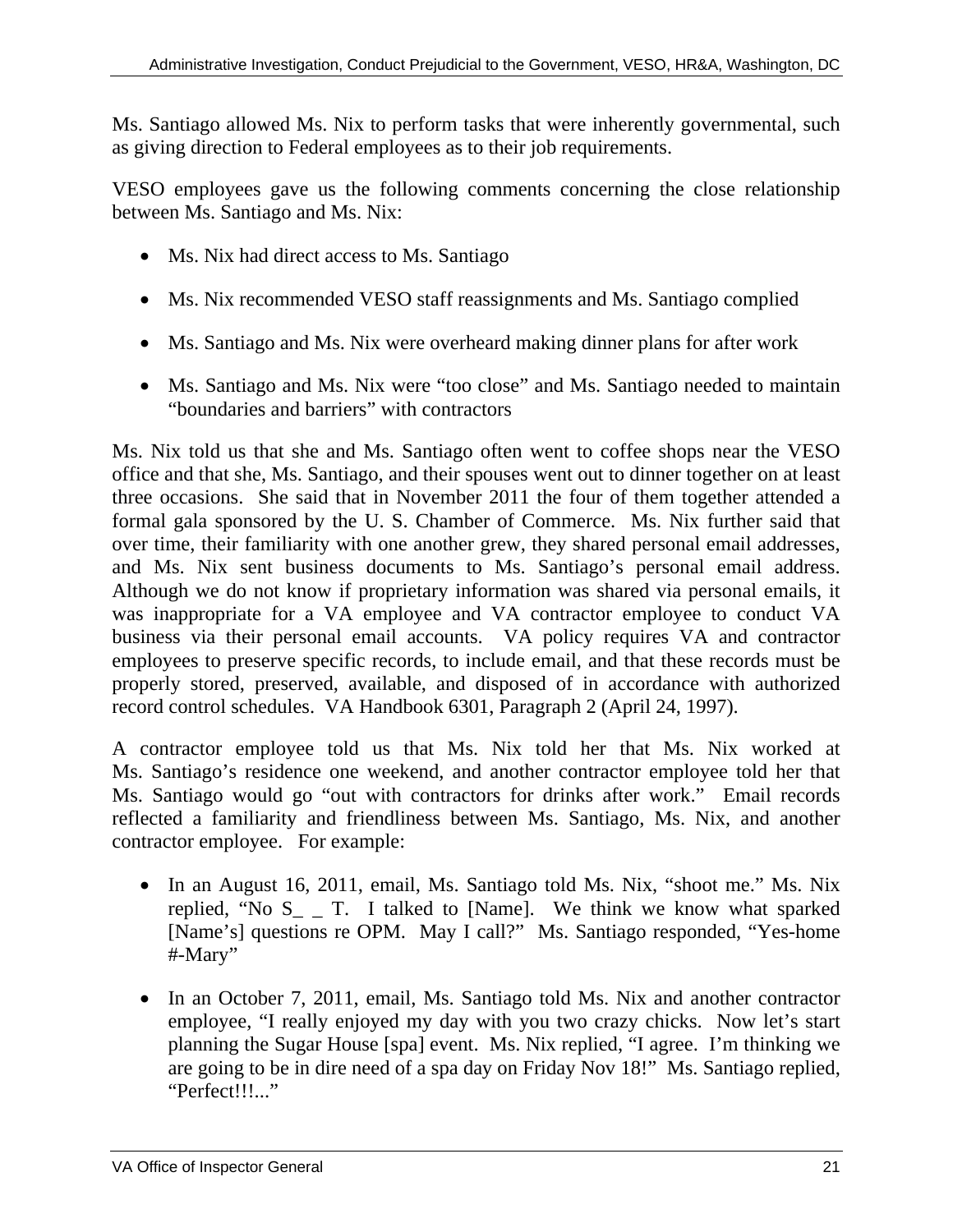Ms. Santiago allowed Ms. Nix to perform tasks that were inherently governmental, such as giving direction to Federal employees as to their job requirements.

VESO employees gave us the following comments concerning the close relationship between Ms. Santiago and Ms. Nix:

- Ms. Nix had direct access to Ms. Santiago
- Ms. Nix recommended VESO staff reassignments and Ms. Santiago complied
- Ms. Santiago and Ms. Nix were overheard making dinner plans for after work
- Ms. Santiago and Ms. Nix were "too close" and Ms. Santiago needed to maintain "boundaries and barriers" with contractors

Ms. Nix told us that she and Ms. Santiago often went to coffee shops near the VESO office and that she, Ms. Santiago, and their spouses went out to dinner together on at least three occasions. She said that in November 2011 the four of them together attended a formal gala sponsored by the U. S. Chamber of Commerce. Ms. Nix further said that over time, their familiarity with one another grew, they shared personal email addresses, and Ms. Nix sent business documents to Ms. Santiago's personal email address. Although we do not know if proprietary information was shared via personal emails, it was inappropriate for a VA employee and VA contractor employee to conduct VA business via their personal email accounts. VA policy requires VA and contractor employees to preserve specific records, to include email, and that these records must be properly stored, preserved, available, and disposed of in accordance with authorized record control schedules. VA Handbook 6301, Paragraph 2 (April 24, 1997).

A contractor employee told us that Ms. Nix told her that Ms. Nix worked at Ms. Santiago's residence one weekend, and another contractor employee told her that Ms. Santiago would go "out with contractors for drinks after work." Email records reflected a familiarity and friendliness between Ms. Santiago, Ms. Nix, and another contractor employee. For example:

- In an August 16, 2011, email, Ms. Santiago told Ms. Nix, "shoot me." Ms. Nix replied, "No  $S_{-}$  T. I talked to [Name]. We think we know what sparked [Name's] questions re OPM. May I call?" Ms. Santiago responded, "Yes-home #-Mary"
- In an October 7, 2011, email, Ms. Santiago told Ms. Nix and another contractor employee, "I really enjoyed my day with you two crazy chicks. Now let's start planning the Sugar House [spa] event. Ms. Nix replied, "I agree. I'm thinking we are going to be in dire need of a spa day on Friday Nov 18!" Ms. Santiago replied, "Perfect!!!..."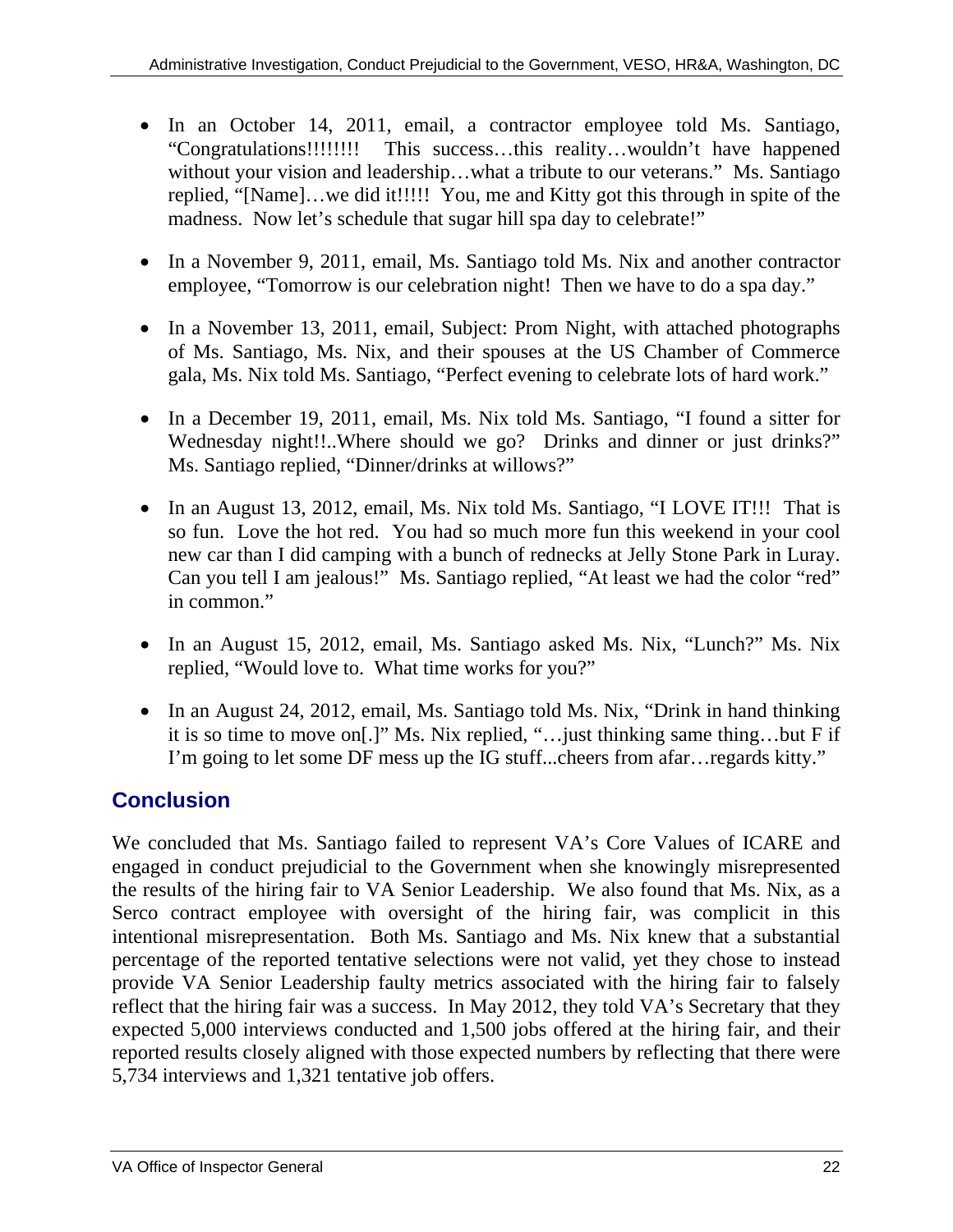- In an October 14, 2011, email, a contractor employee told Ms. Santiago, "Congratulations!!!!!!!! This success…this reality…wouldn't have happened without your vision and leadership...what a tribute to our veterans." Ms. Santiago replied, "[Name]…we did it!!!!! You, me and Kitty got this through in spite of the madness. Now let's schedule that sugar hill spa day to celebrate!"
- In a November 9, 2011, email, Ms. Santiago told Ms. Nix and another contractor employee, "Tomorrow is our celebration night! Then we have to do a spa day."
- In a November 13, 2011, email, Subject: Prom Night, with attached photographs of Ms. Santiago, Ms. Nix, and their spouses at the US Chamber of Commerce gala, Ms. Nix told Ms. Santiago, "Perfect evening to celebrate lots of hard work."
- In a December 19, 2011, email, Ms. Nix told Ms. Santiago, "I found a sitter for Wednesday night!!..Where should we go? Drinks and dinner or just drinks?" Ms. Santiago replied, "Dinner/drinks at willows?"
- In an August 13, 2012, email, Ms. Nix told Ms. Santiago, "I LOVE IT!!! That is so fun. Love the hot red. You had so much more fun this weekend in your cool new car than I did camping with a bunch of rednecks at Jelly Stone Park in Luray. Can you tell I am jealous!" Ms. Santiago replied, "At least we had the color "red" in common."
- In an August 15, 2012, email, Ms. Santiago asked Ms. Nix, "Lunch?" Ms. Nix replied, "Would love to. What time works for you?"
- In an August 24, 2012, email, Ms. Santiago told Ms. Nix, "Drink in hand thinking it is so time to move on[.]" Ms. Nix replied, "…just thinking same thing…but F if I'm going to let some DF mess up the IG stuff...cheers from afar…regards kitty."

# **Conclusion**

We concluded that Ms. Santiago failed to represent VA's Core Values of ICARE and engaged in conduct prejudicial to the Government when she knowingly misrepresented the results of the hiring fair to VA Senior Leadership. We also found that Ms. Nix, as a Serco contract employee with oversight of the hiring fair, was complicit in this intentional misrepresentation. Both Ms. Santiago and Ms. Nix knew that a substantial percentage of the reported tentative selections were not valid, yet they chose to instead provide VA Senior Leadership faulty metrics associated with the hiring fair to falsely reflect that the hiring fair was a success. In May 2012, they told VA's Secretary that they expected 5,000 interviews conducted and 1,500 jobs offered at the hiring fair, and their reported results closely aligned with those expected numbers by reflecting that there were 5,734 interviews and 1,321 tentative job offers.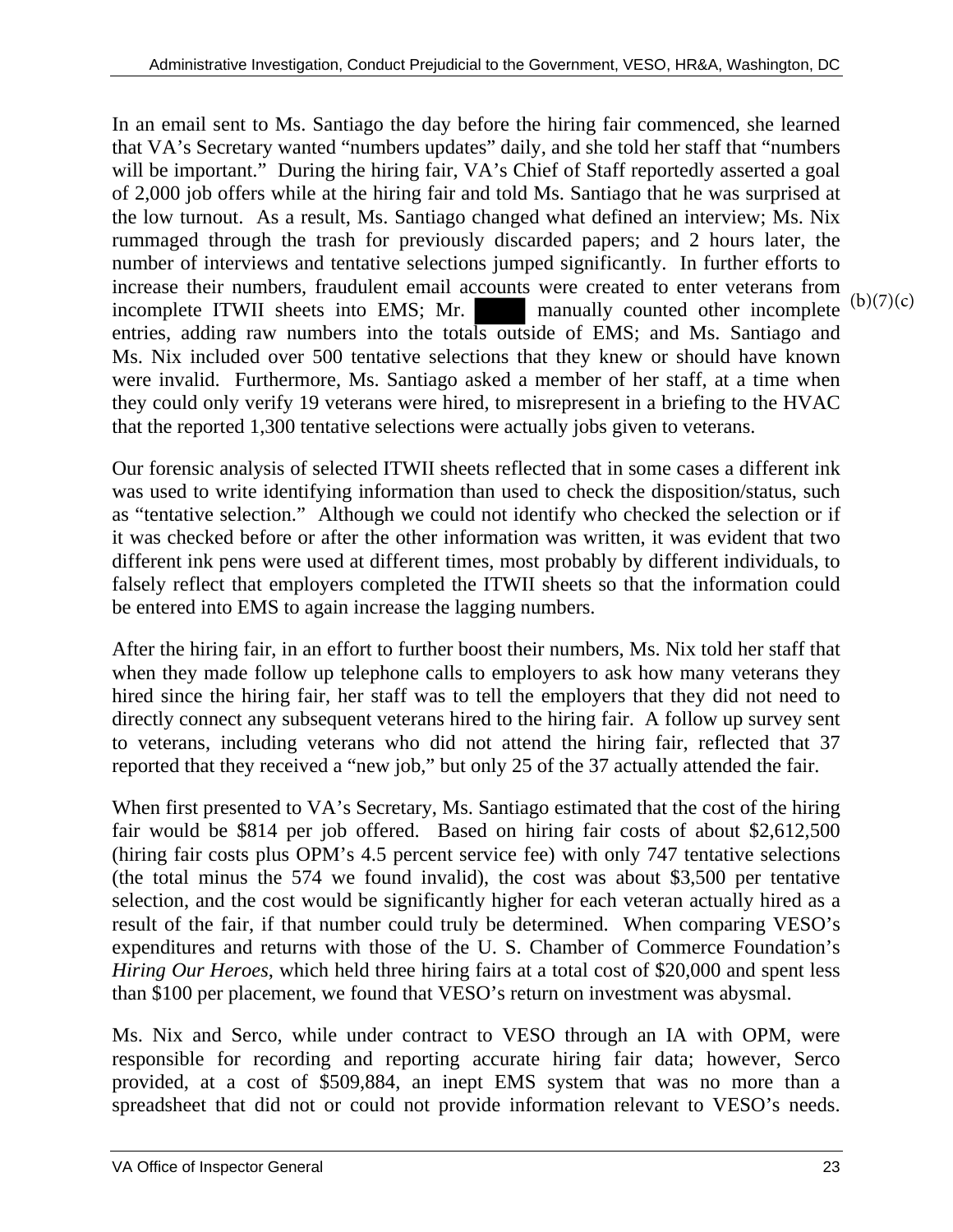In an email sent to Ms. Santiago the day before the hiring fair commenced, she learned that VA's Secretary wanted "numbers updates" daily, and she told her staff that "numbers will be important." During the hiring fair, VA's Chief of Staff reportedly asserted a goal of 2,000 job offers while at the hiring fair and told Ms. Santiago that he was surprised at the low turnout. As a result, Ms. Santiago changed what defined an interview; Ms. Nix rummaged through the trash for previously discarded papers; and 2 hours later, the number of interviews and tentative selections jumped significantly. In further efforts to increase their numbers, fraudulent email accounts were created to enter veterans from incomplete ITWII sheets into EMS; Mr. entries, adding raw numbers into the totals outside of EMS; and Ms. Santiago and Ms. Nix included over 500 tentative selections that they knew or should have known were invalid. Furthermore, Ms. Santiago asked a member of her staff, at a time when they could only verify 19 veterans were hired, to misrepresent in a briefing to the HVAC that the reported 1,300 tentative selections were actually jobs given to veterans. manually counted other incomplete  $(b)(7)(c)$ 

Our forensic analysis of selected ITWII sheets reflected that in some cases a different ink was used to write identifying information than used to check the disposition/status, such as "tentative selection." Although we could not identify who checked the selection or if it was checked before or after the other information was written, it was evident that two different ink pens were used at different times, most probably by different individuals, to falsely reflect that employers completed the ITWII sheets so that the information could be entered into EMS to again increase the lagging numbers.

After the hiring fair, in an effort to further boost their numbers, Ms. Nix told her staff that when they made follow up telephone calls to employers to ask how many veterans they hired since the hiring fair, her staff was to tell the employers that they did not need to directly connect any subsequent veterans hired to the hiring fair. A follow up survey sent to veterans, including veterans who did not attend the hiring fair, reflected that 37 reported that they received a "new job," but only 25 of the 37 actually attended the fair.

than \$100 per placement, we found that VESO's return on investment was abysmal. When first presented to VA's Secretary, Ms. Santiago estimated that the cost of the hiring fair would be \$814 per job offered. Based on hiring fair costs of about \$2,612,500 (hiring fair costs plus OPM's 4.5 percent service fee) with only 747 tentative selections (the total minus the 574 we found invalid), the cost was about \$3,500 per tentative selection, and the cost would be significantly higher for each veteran actually hired as a result of the fair, if that number could truly be determined. When comparing VESO's expenditures and returns with those of the U. S. Chamber of Commerce Foundation's *Hiring Our Heroes*, which held three hiring fairs at a total cost of \$20,000 and spent less

Ms. Nix and Serco, while under contract to VESO through an IA with OPM, were responsible for recording and reporting accurate hiring fair data; however, Serco provided, at a cost of \$509,884, an inept EMS system that was no more than a spreadsheet that did not or could not provide information relevant to VESO's needs.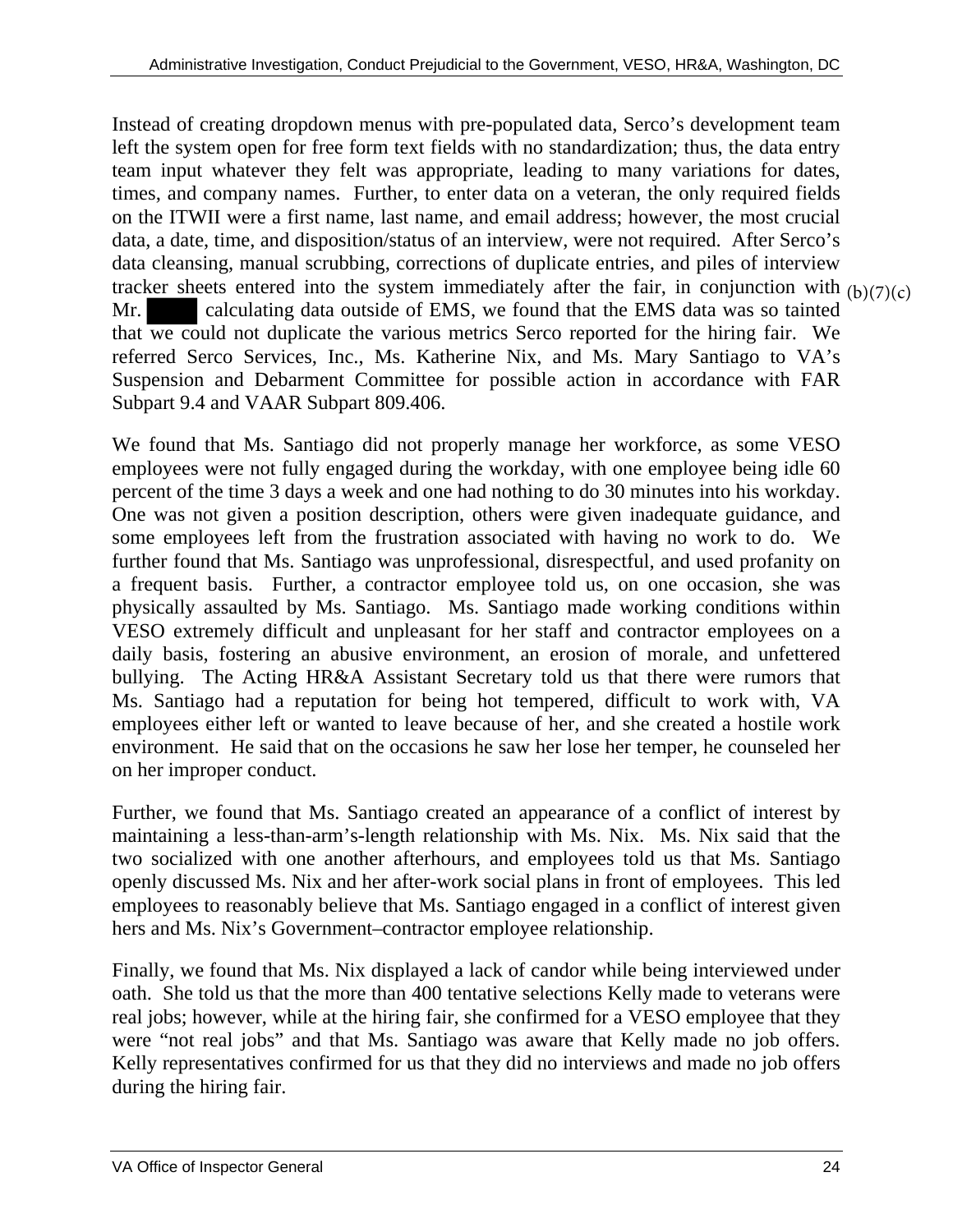Instead of creating dropdown menus with pre-populated data, Serco's development team left the system open for free form text fields with no standardization; thus, the data entry team input whatever they felt was appropriate, leading to many variations for dates, times, and company names. Further, to enter data on a veteran, the only required fields on the ITWII were a first name, last name, and email address; however, the most crucial data, a date, time, and disposition/status of an interview, were not required. After Serco's data cleansing, manual scrubbing, corrections of duplicate entries, and piles of interview tracker sheets entered into the system immediately after the fair, in conjunction with  $(b)(7)(c)$ Mr. calculating data outside of EMS, we found that the EMS data was so tainted that we could not duplicate the various metrics Serco reported for the hiring fair. We referred Serco Services, Inc., Ms. Katherine Nix, and Ms. Mary Santiago to VA's Suspension and Debarment Committee for possible action in accordance with FAR Subpart 9.4 and VAAR Subpart 809.406.

We found that Ms. Santiago did not properly manage her workforce, as some VESO employees were not fully engaged during the workday, with one employee being idle 60 percent of the time 3 days a week and one had nothing to do 30 minutes into his workday. One was not given a position description, others were given inadequate guidance, and some employees left from the frustration associated with having no work to do. We further found that Ms. Santiago was unprofessional, disrespectful, and used profanity on a frequent basis. Further, a contractor employee told us, on one occasion, she was physically assaulted by Ms. Santiago. Ms. Santiago made working conditions within VESO extremely difficult and unpleasant for her staff and contractor employees on a daily basis, fostering an abusive environment, an erosion of morale, and unfettered bullying. The Acting HR&A Assistant Secretary told us that there were rumors that Ms. Santiago had a reputation for being hot tempered, difficult to work with, VA employees either left or wanted to leave because of her, and she created a hostile work environment. He said that on the occasions he saw her lose her temper, he counseled her on her improper conduct.

Further, we found that Ms. Santiago created an appearance of a conflict of interest by maintaining a less-than-arm's-length relationship with Ms. Nix. Ms. Nix said that the two socialized with one another afterhours, and employees told us that Ms. Santiago openly discussed Ms. Nix and her after-work social plans in front of employees. This led employees to reasonably believe that Ms. Santiago engaged in a conflict of interest given hers and Ms. Nix's Government–contractor employee relationship.

were "not real jobs" and that Ms. Santiago was aware that Kelly made no job offers. Finally, we found that Ms. Nix displayed a lack of candor while being interviewed under oath. She told us that the more than 400 tentative selections Kelly made to veterans were real jobs; however, while at the hiring fair, she confirmed for a VESO employee that they Kelly representatives confirmed for us that they did no interviews and made no job offers. during the hiring fair.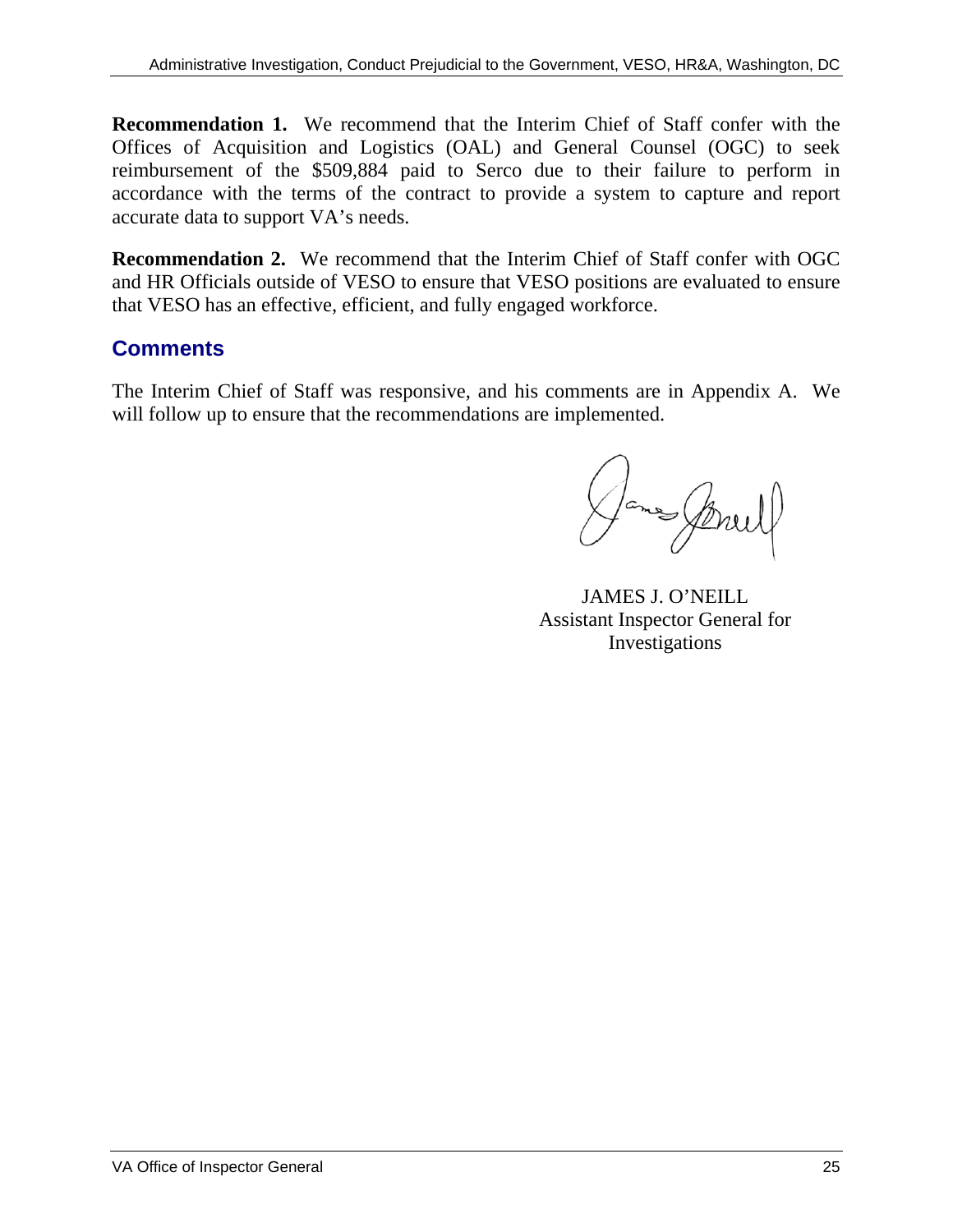**Recommendation 1.** We recommend that the Interim Chief of Staff confer with the Offices of Acquisition and Logistics (OAL) and General Counsel (OGC) to seek reimbursement of the \$509,884 paid to Serco due to their failure to perform in accordance with the terms of the contract to provide a system to capture and report accurate data to support VA's needs.

**Recommendation 2.** We recommend that the Interim Chief of Staff confer with OGC and HR Officials outside of VESO to ensure that VESO positions are evaluated to ensure that VESO has an effective, efficient, and fully engaged workforce.

# **Comments**

The Interim Chief of Staff was responsive, and his comments are in Appendix A. We will follow up to ensure that the recommendations are implemented.

ames Street

JAMES J. O'NEILL Assistant Inspector General for Investigations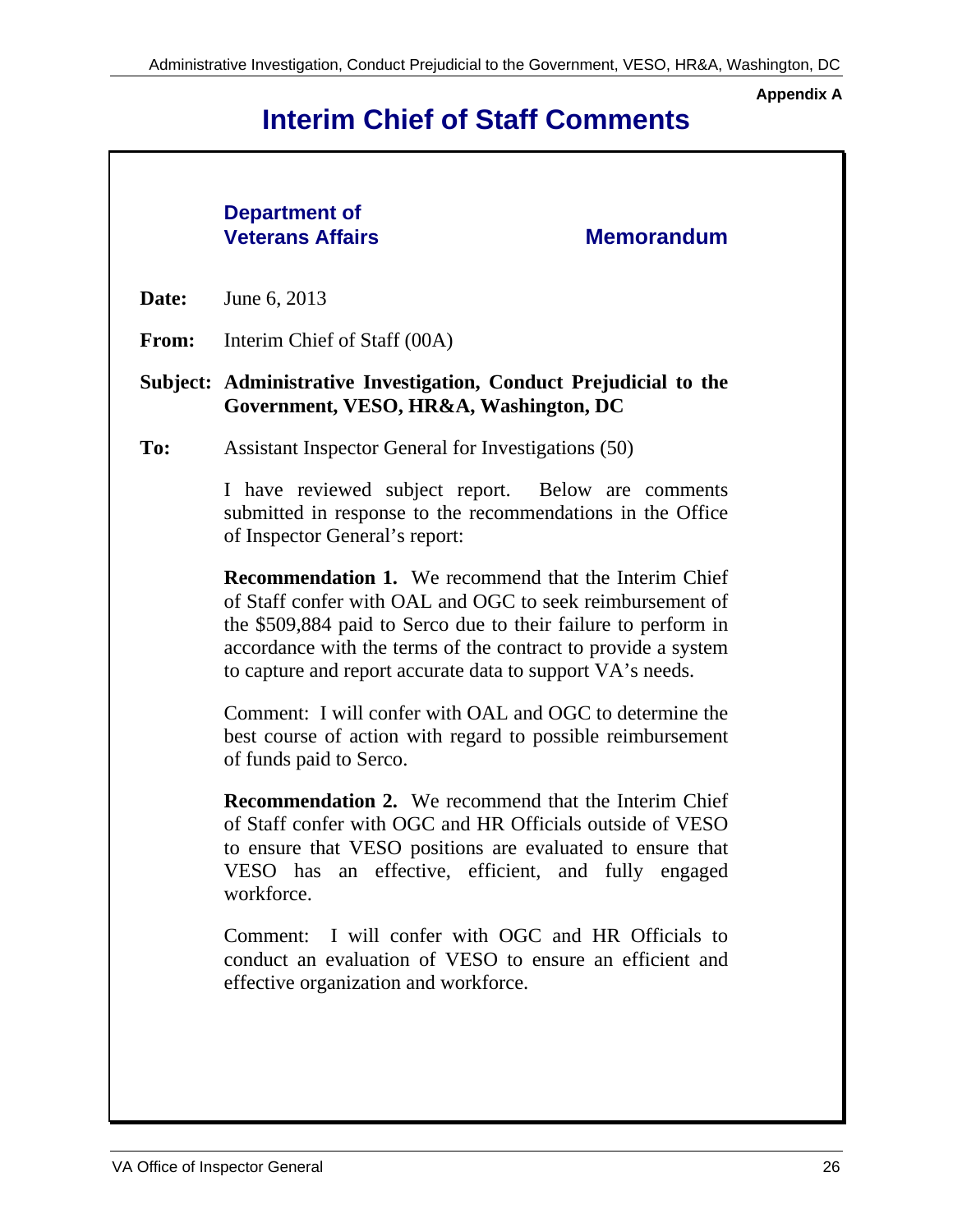**Appendix A** 

# **Interim Chief of Staff Comments**

# **Department of Veterans Affairs Memorandum Date:** June 6, 2013 **From:** Interim Chief of Staff (00A) **Subject: Administrative Investigation, Conduct Prejudicial to the Government, VESO, HR&A, Washington, DC To:** Assistant Inspector General for Investigations (50) I have reviewed subject report. Below are comments submitted in response to the recommendations in the Office of Inspector General's report:

**Recommendation 1.** We recommend that the Interim Chief of Staff confer with OAL and OGC to seek reimbursement of the \$509,884 paid to Serco due to their failure to perform in accordance with the terms of the contract to provide a system to capture and report accurate data to support VA's needs.

Comment: I will confer with OAL and OGC to determine the best course of action with regard to possible reimbursement of funds paid to Serco.

**Recommendation 2.** We recommend that the Interim Chief of Staff confer with OGC and HR Officials outside of VESO to ensure that VESO positions are evaluated to ensure that VESO has an effective, efficient, and fully engaged workforce.

Comment: I will confer with OGC and HR Officials to conduct an evaluation of VESO to ensure an efficient and effective organization and workforce.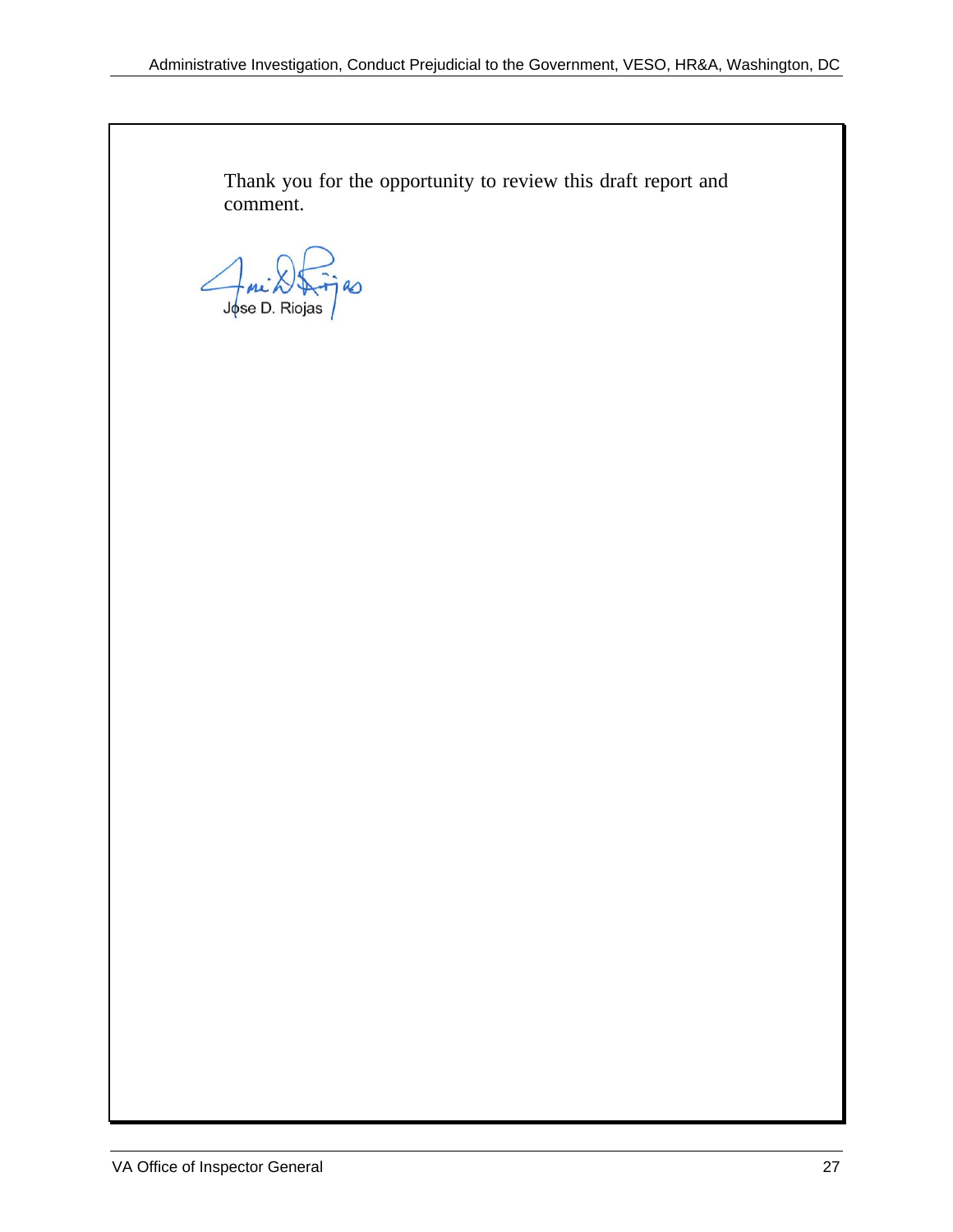Thank you for the opportunity to review this draft report and comment.

R Jose D. Riojas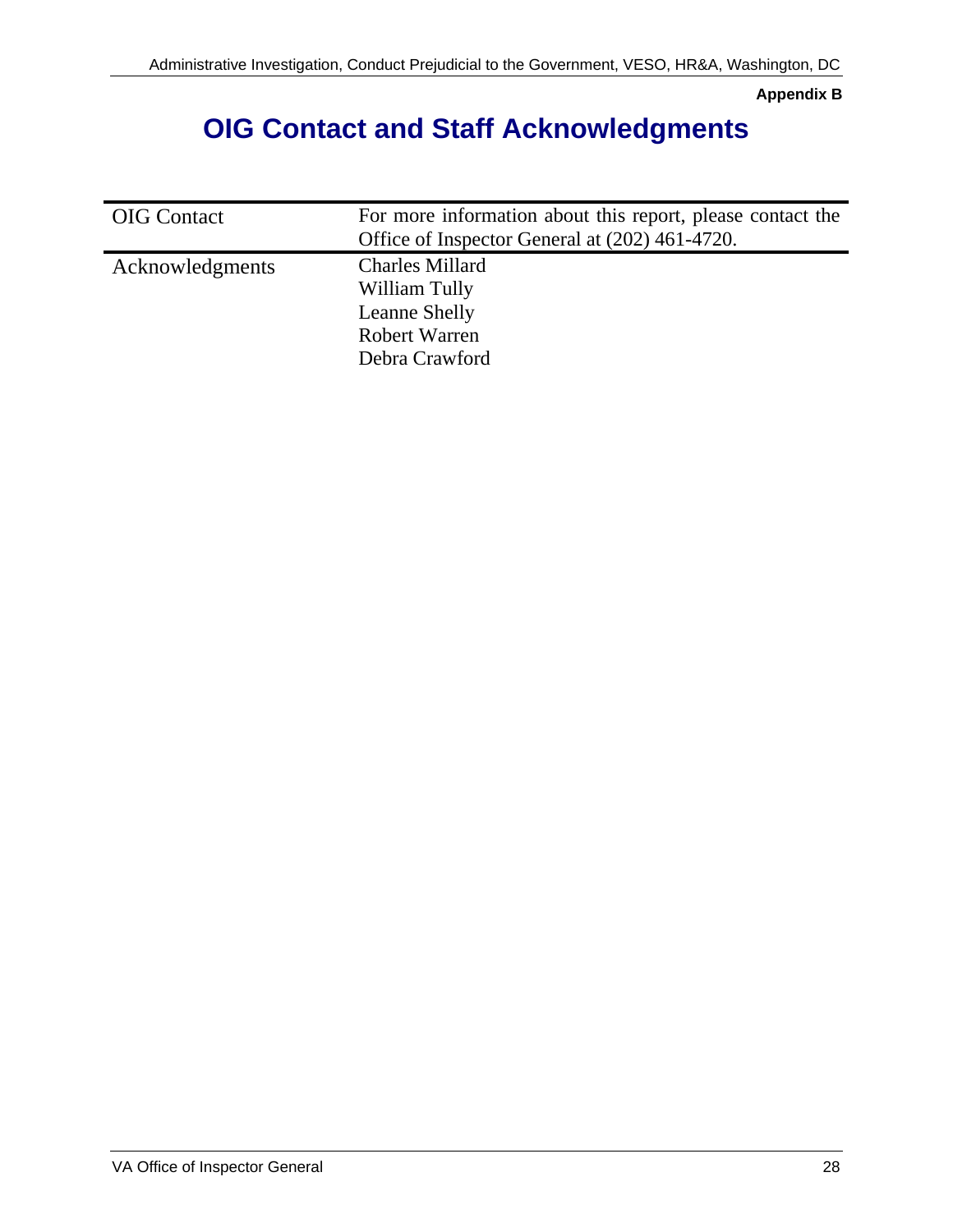**Appendix B** 

# **OIG Contact and Staff Acknowledgments**

| <b>OIG</b> Contact | For more information about this report, please contact the<br>Office of Inspector General at (202) 461-4720. |
|--------------------|--------------------------------------------------------------------------------------------------------------|
| Acknowledgments    | <b>Charles Millard</b><br>William Tully<br>Leanne Shelly<br><b>Robert Warren</b><br>Debra Crawford           |